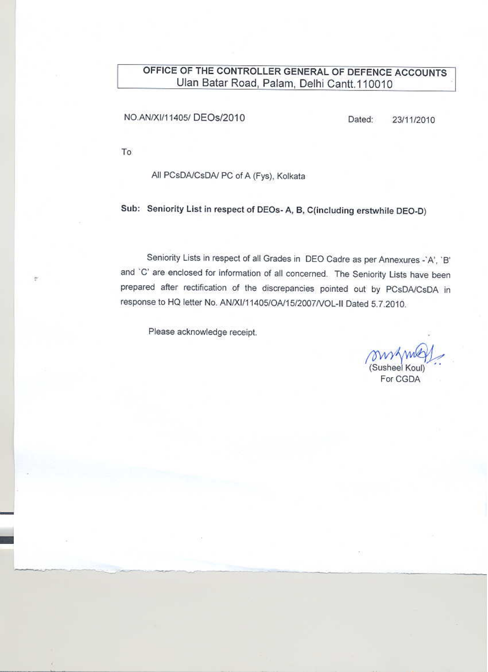# OFFICE OF THE CONTROLLER GENERAL OF DEFENCE ACCOUNTS Ulan Batar Road, Palam, Delhi Cantt.110010

## NO.AN/XI/11405/ DEOs/2010

Dated: 23/11/2010

To

ŧ

## All PCsDA/CsDA/ PC of A (Fys), Kolkata

Sub: Seniority List in respect of DEOs- A, B, C(including erstwhile DEO-D)

Seniority Lists in respect of all Grades in DEO Cadre as per Annexures -`A', `B' and 'C' are enclosed for information of all concerned. The Seniority Lists have been prepared after rectification of the discrepancies pointed out by PCsDA/CsDA in response to HQ letter No. AN/XI/11405/OA/15/2007/VOL-II Dated 5.7.2010.

Please acknowledge receipt.

(Susheel Koul)

For CGDA

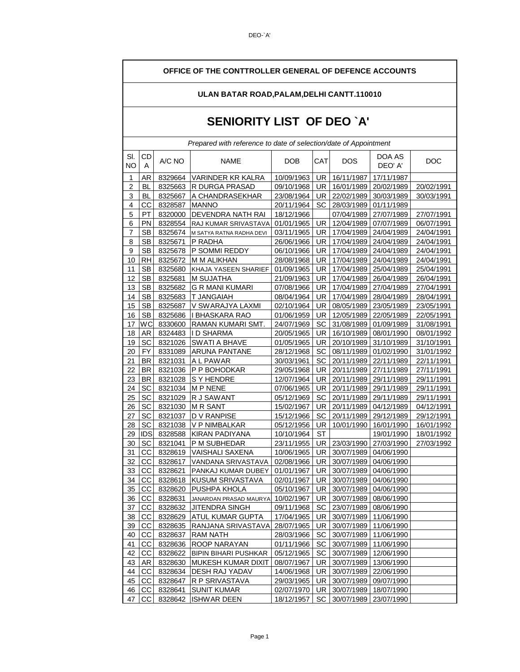┓

 $\mathsf{r}$ 

| OFFICE OF THE CONTTROLLER GENERAL OF DEFENCE ACCOUNTS |                           |               |                                                                  |            |           |                              |                              |            |  |  |  |  |
|-------------------------------------------------------|---------------------------|---------------|------------------------------------------------------------------|------------|-----------|------------------------------|------------------------------|------------|--|--|--|--|
| ULAN BATAR ROAD, PALAM, DELHI CANTT. 110010           |                           |               |                                                                  |            |           |                              |                              |            |  |  |  |  |
|                                                       | SENIORITY LIST OF DEO `A' |               |                                                                  |            |           |                              |                              |            |  |  |  |  |
|                                                       |                           |               | Prepared with reference to date of selection/date of Appointment |            |           |                              |                              |            |  |  |  |  |
| SI.<br>NΟ                                             | CD<br>A                   | A/C NO        | <b>NAME</b>                                                      | <b>DOB</b> | CAT       | <b>DOS</b>                   | DOA AS<br>DEO' A'            | <b>DOC</b> |  |  |  |  |
| 1                                                     | <b>AR</b>                 | 8329664       | VARINDER KR KALRA                                                | 10/09/1963 | UR        | 16/11/1987                   | 17/11/1987                   |            |  |  |  |  |
| $\overline{\mathbf{c}}$                               | <b>BL</b>                 | 8325663       | <b>R DURGA PRASAD</b>                                            | 09/10/1968 | UR        | 16/01/1989 20/02/1989        |                              | 20/02/1991 |  |  |  |  |
| 3                                                     | <b>BL</b>                 |               | 8325667 A CHANDRASEKHAR                                          | 23/08/1964 |           | UR 22/02/1989 30/03/1989     |                              | 30/03/1991 |  |  |  |  |
| 4                                                     | CС                        | 8328587 MANNO |                                                                  | 20/11/1964 | SC        | 28/03/1989 01/11/1989        |                              |            |  |  |  |  |
| 5                                                     | PT                        |               | 8320000 DEVENDRA NATH RAI                                        | 18/12/1966 |           | 07/04/1989                   | 27/07/1989                   | 27/07/1991 |  |  |  |  |
| 6                                                     | PN                        | 8328554       | <b>RAJ KUMAR SRIVASTAVA</b>                                      | 01/01/1965 | <b>UR</b> | 12/04/1989                   | 07/07/1989                   | 06/07/1991 |  |  |  |  |
| $\overline{7}$                                        | <b>SB</b>                 | 8325674       | M SATYA RATNA RADHA DEVI                                         | 03/11/1965 | UR I      | 17/04/1989                   | 24/04/1989                   | 24/04/1991 |  |  |  |  |
| 8                                                     | <b>SB</b>                 | 8325671       | P RADHA                                                          | 26/06/1966 |           | UR   17/04/1989   24/04/1989 |                              | 24/04/1991 |  |  |  |  |
| 9                                                     | SB                        |               | 8325678  P SOMMI REDDY                                           | 06/10/1966 |           | UR   17/04/1989   24/04/1989 |                              | 24/04/1991 |  |  |  |  |
| 10                                                    | <b>RH</b>                 | 8325672       | M M ALIKHAN                                                      | 28/08/1968 | UR        | 17/04/1989                   | 24/04/1989                   | 24/04/1991 |  |  |  |  |
| 11                                                    | <b>SB</b>                 | 8325680       | KHAJA YASEEN SHARIEF                                             | 01/09/1965 | UR        | 17/04/1989                   | 25/04/1989                   | 25/04/1991 |  |  |  |  |
| 12                                                    | <b>SB</b>                 | 8325681       | M SUJATHA                                                        | 21/09/1963 | UR        | 17/04/1989                   | 26/04/1989                   | 26/04/1991 |  |  |  |  |
| 13                                                    | <b>SB</b>                 |               | 8325682 G R MANI KUMARI                                          | 07/08/1966 |           |                              | UR   17/04/1989   27/04/1989 | 27/04/1991 |  |  |  |  |
| 14                                                    | SB                        |               | 8325683  T JANGAIAH                                              | 08/04/1964 |           | UR   17/04/1989   28/04/1989 |                              | 28/04/1991 |  |  |  |  |
| 15                                                    | <b>SB</b>                 | 8325687       | V SWARAJYA LAXMI                                                 | 02/10/1964 | UR I      | 08/05/1989 23/05/1989        |                              | 23/05/1991 |  |  |  |  |
| 16                                                    | <b>SB</b>                 | 8325686       | II BHASKARA RAO                                                  | 01/06/1959 | UR        | 12/05/1989                   | 22/05/1989                   | 22/05/1991 |  |  |  |  |
| 17                                                    | WC                        | 8330600       | RAMAN KUMARI SMT.                                                | 24/07/1969 | SC        | 31/08/1989                   | 01/09/1989                   | 31/08/1991 |  |  |  |  |
| 18                                                    | <b>AR</b>                 |               | 8324483   ID SHARMA                                              | 20/05/1965 |           | UR   16/10/1989   08/01/1990 |                              | 08/01/1992 |  |  |  |  |
| 19                                                    | <u>SC</u>                 |               | 8321026 SWATI A BHAVE                                            | 01/05/1965 |           | UR   20/10/1989   31/10/1989 |                              | 31/10/1991 |  |  |  |  |
| 20                                                    | <b>FY</b>                 | 8331089       | <b>ARUNA PANTANE</b>                                             | 28/12/1968 |           | SC 08/11/1989                | 01/02/1990                   | 31/01/1992 |  |  |  |  |
| 21                                                    | <b>BR</b>                 | 8321031       | A L PAWAR                                                        | 30/03/1961 | SC.       | 20/11/1989                   | 22/11/1989                   | 22/11/1991 |  |  |  |  |
| 22                                                    | <b>BR</b>                 | 8321036       | P P BOHODKAR                                                     | 29/05/1968 | <b>UR</b> | 20/11/1989                   | 27/11/1989                   | 27/11/1991 |  |  |  |  |
| 23                                                    | <b>BR</b>                 | 8321028       | S Y HENDRE                                                       | 12/07/1964 |           | UR 20/11/1989 29/11/1989     |                              | 29/11/1991 |  |  |  |  |
| 24                                                    | <u>SC</u>                 |               | 8321034 M P NENE                                                 | 07/06/1965 |           | UR 20/11/1989 29/11/1989     |                              | 29/11/1991 |  |  |  |  |
| 25                                                    | SC                        | 8321029       | R J SAWANT                                                       | 05/12/1969 | SC        | 20/11/1989                   | 29/11/1989                   | 29/11/1991 |  |  |  |  |
| 26                                                    | SC                        |               | 8321030 M R SANT                                                 | 15/02/1967 | UR.       | 20/11/1989                   | 04/12/1989                   | 04/12/1991 |  |  |  |  |
| 27                                                    | SC                        | 8321037       | D V RANPISE                                                      | 15/12/1966 | SC        | 20/11/1989                   | 29/12/1989                   | 29/12/1991 |  |  |  |  |
| 28                                                    | SC                        |               | 8321038 V P NIMBALKAR                                            | 05/12/1956 |           | UR   10/01/1990   16/01/1990 |                              | 16/01/1992 |  |  |  |  |
| 29                                                    | <b>IDS</b>                |               | 8328588 KIRAN PADIYANA                                           | 10/10/1964 | ST        |                              | 19/01/1990                   | 18/01/1992 |  |  |  |  |
| 30                                                    | SC                        | 8321041       | P M SUBHEDAR                                                     | 23/11/1955 |           | UR 23/03/1990 27/03/1990     |                              | 27/03/1992 |  |  |  |  |
| 31                                                    | CC                        |               | 8328619 VAISHALI SAXENA                                          | 10/06/1965 |           | UR 30/07/1989 04/06/1990     |                              |            |  |  |  |  |
| 32                                                    | CС                        | 8328617       | VANDANA SRIVASTAVA                                               | 02/08/1966 | UR        | 30/07/1989 04/06/1990        |                              |            |  |  |  |  |
| 33                                                    | CC                        | 8328621       | PANKAJ KUMAR DUBEY                                               | 01/01/1967 |           | UR 30/07/1989 04/06/1990     |                              |            |  |  |  |  |
| 34                                                    | <u>сс</u>                 |               | 8328618 KUSUM SRIVASTAVA                                         | 02/01/1967 |           | UR 30/07/1989 04/06/1990     |                              |            |  |  |  |  |
| 35                                                    | CС                        | 8328620       | <b>PUSHPA KHOLA</b>                                              | 05/10/1967 |           | UR 30/07/1989                | 04/06/1990                   |            |  |  |  |  |
| 36                                                    | CC                        | 8328631       | JANARDAN PRASAD MAURYA                                           | 10/02/1967 | UR        | 30/07/1989                   | 08/06/1990                   |            |  |  |  |  |
| 37                                                    | CC                        | 8328632       | <b>JITENDRA SINGH</b>                                            | 09/11/1968 | SC        | 23/07/1989                   | 08/06/1990                   |            |  |  |  |  |
| 38                                                    | CC                        |               | 8328629 ATUL KUMAR GUPTA                                         | 17/04/1965 |           | UR 30/07/1989 11/06/1990     |                              |            |  |  |  |  |
| 39                                                    | $_{\rm CC}$               |               | 8328635 RANJANA SRIVASTAVA                                       | 28/07/1965 |           | UR 30/07/1989 11/06/1990     |                              |            |  |  |  |  |
| 40                                                    | CC                        | 8328637       | <b>RAM NATH</b>                                                  | 28/03/1966 | SC        | 30/07/1989                   | 11/06/1990                   |            |  |  |  |  |
| 41                                                    | CC                        | 8328636       | <b>ROOP NARAYAN</b>                                              | 01/11/1966 | SC        | 30/07/1989 11/06/1990        |                              |            |  |  |  |  |
| 42                                                    | CC                        | 8328622       | BIPIN BIHARI PUSHKAR                                             | 05/12/1965 | SC        | 30/07/1989 12/06/1990        |                              |            |  |  |  |  |
| 43                                                    | AR                        | 8328630       | MUKESH KUMAR DIXIT                                               | 08/07/1967 |           | UR 30/07/1989 13/06/1990     |                              |            |  |  |  |  |
| 44                                                    | <u>СС</u>                 |               | 8328634   DESH RAJ YADAV                                         | 14/06/1968 |           | UR 30/07/1989   22/06/1990   |                              |            |  |  |  |  |
| 45                                                    | СC                        | 8328647       | R P SRIVASTAVA                                                   | 29/03/1965 | UR        | 30/07/1989                   | 09/07/1990                   |            |  |  |  |  |

46 CC 8328641 SUNIT KUMAR 02/07/1970 UR 30/07/1989 18/07/1990 47 |CC| 8328642 |ISHWAR DEEN | 18/12/1957 | SC | 30/07/1989 | 23/07/1990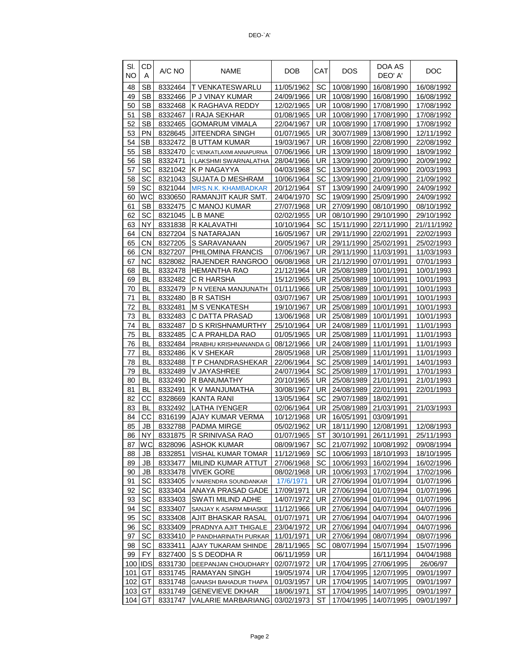| SI.<br>NΟ | CD<br>A    | A/C NO             | NAME                       | DOB        | CAT       | <b>DOS</b>            | DOA AS<br>DEO' A' | <b>DOC</b>  |
|-----------|------------|--------------------|----------------------------|------------|-----------|-----------------------|-------------------|-------------|
| 48        | <b>SB</b>  | 8332464            | T VENKATESWARLU            | 11/05/1962 | SC        | 10/08/1990            | 16/08/1990        | 16/08/1992  |
| 49        | <b>SB</b>  | 8332466            | P J VINAY KUMAR            | 24/09/1966 | UR        | 10/08/1990            | 16/08/1990        | 16/08/1992  |
| 50        | <b>SB</b>  | 8332468            | K RAGHAVA REDDY            | 12/02/1965 | UR        | 10/08/1990            | 17/08/1990        | 17/08/1992  |
| 51        | <b>SB</b>  | 8332467            | I RAJA SEKHAR              | 01/08/1965 | UR        | 10/08/1990            | 17/08/1990        | 17/08/1992  |
| 52        | <b>SB</b>  | 8332465            | <b>GOMARUM VIMALA</b>      | 22/04/1967 | UR        | 10/08/1990            | 17/08/1990        | 17/08/1992  |
| 53        | <b>PN</b>  | 8328645            | JITEENDRA SINGH            | 01/07/1965 | UR        | 30/07/1989            | 13/08/1990        | 12/11/1992  |
| 54        | <b>SB</b>  | 8332472            | <b>B UTTAM KUMAR</b>       | 19/03/1967 | UR        | 16/08/1990            | 22/08/1990        | 22/08/1992  |
| 55        | <b>SB</b>  | 8332470            | C VENKATLAXMI ANNAPURNA    | 07/06/1966 | UR.       | 13/09/1990            | 18/09/1990        | 18/09/1992  |
| 56        | <b>SB</b>  | 8332471            | I LAKSHMI SWARNALATHA      | 28/04/1966 | UR        | 13/09/1990            | 20/09/1990        | 20/09/1992  |
| 57        | SC         | 8321042            | K P NAGAYYA                | 04/03/1968 | SC        | 13/09/1990            | 20/09/1990        | 20/03/1993  |
| 58        | SC         | 8321043            | <b>SUJATA D MESHRAM</b>    | 10/06/1964 | SC        | 13/09/1990            | 21/09/1990        | 21/09/1992  |
| 59        | SC         | 8321044            | <b>MRS.N.K. KHAMBADKAR</b> | 20/12/1964 | ST        | 13/09/1990            | 24/09/1990        | 24/09/1992  |
| 60        | wс         | 8330650            | RAMANJIT KAUR SMT.         | 24/04/1970 | SC        | 19/09/1990            | 25/09/1990        | 24/09/1992  |
| 61        | <b>SB</b>  | 8332475            | C MANOJ KUMAR              | 27/07/1968 | UR        | 27/09/1990            | 08/10/1990        | 08/10/1992  |
| 62        | SC         | 8321045            | L B MANE                   | 02/02/1955 | UR        | 08/10/1990            | 29/10/1990        | 29/10/1992  |
| 63        | <b>NY</b>  | 8331838            | R KALAVATHI                | 10/10/1964 | SC        | 15/11/1990            | 22/11/1990        | 21//11/1992 |
| 64        | CN         | 8327204            | S NATARAJAN                | 16/05/1967 | UR        | 29/11/1990            | 22/02/1991        | 22/02/1993  |
| 65        | <b>CN</b>  |                    | S SARAVANAAN               |            | UR.       | 29/11/1990            | 25/02/1991        |             |
|           |            | 8327205<br>8327207 |                            | 20/05/1967 |           |                       |                   | 25/02/1993  |
| 66        | СN         |                    | PHILOMINA FRANCIS          | 07/06/1967 | UR        | 29/11/1990            | 11/03/1991        | 11/03/1993  |
| 67        | NС         | 8328082            | RAJENDER RANGROO           | 06/08/1968 | UR.       | 21/12/1990            | 07/01/1991        | 07/01/1993  |
| 68        | BL         | 8332478            | <b>HEMANTHA RAO</b>        | 21/12/1964 | UR        | 25/08/1989            | 10/01/1991        | 10/01/1993  |
| 69        | BL         | 8332482            | C R HARSHA                 | 15/12/1965 | UR        | 25/08/1989            | 10/01/1991        | 10/01/1993  |
| 70        | BL         | 8332479            | P N VEENA MANJUNATH        | 01/11/1966 | UR        | 25/08/1989            | 10/01/1991        | 10/01/1993  |
| 71        | BL         | 8332480            | <b>B R SATISH</b>          | 03/07/1967 | UR        | 25/08/1989            | 10/01/1991        | 10/01/1993  |
| 72        | BL         | 8332481            | <b>M S VENKATESH</b>       | 19/10/1967 | UR        | 25/08/1989            | 10/01/1991        | 10/01/1993  |
| 73        | BL         | 8332483            | C DATTA PRASAD             | 13/06/1968 | UR        | 25/08/1989            | 10/01/1991        | 10/01/1993  |
| 74        | BL         | 8332487            | D S KRISHNAMURTHY          | 25/10/1964 | UR        | 24/08/1989            | 11/01/1991        | 11/01/1993  |
| 75        | BL         | 8332485            | C A PRAHLDA RAO            | 01/05/1965 | UR.       | 25/08/1989            | 11/01/1991        | 11/01/1993  |
| 76        | BL         | 8332484            | PRABHU KRISHNANANDA G      | 08/12/1966 | UR        | 24/08/1989            | 11/01/1991        | 11/01/1993  |
| 77        | BL         | 8332486            | <b>K V SHEKAR</b>          | 28/05/1968 | UR.       | 25/08/1989            | 11/01/1991        | 11/01/1993  |
| 78        | BL         | 8332488            | T P CHANDRASHEKAR          | 22/06/1964 | SC        | 25/08/1989            | 14/01/1991        | 14/01/1993  |
| 79        | BL         | 8332489            | V JAYASHREE                | 24/07/1964 | SC        | 25/08/1989            | 17/01/1991        | 17/01/1993  |
| 80        | BL         | 8332490            | R BANUMATHY                | 20/10/1965 | UR        | 25/08/1989            | 21/01/1991        | 21/01/1993  |
| 81        | BL         | 8332491            | K V MANJUMATHA             | 30/08/1967 | UR        | 24/08/1989            | 22/01/1991        | 22/01/1993  |
| 82        | CC         | 8328669            | <b>KANTA RANI</b>          | 13/05/1964 | SC        | 29/07/1989            | 18/02/1991        |             |
| 83        | BL         | 8332492            | <b>LATHA IYENGER</b>       | 02/06/1964 | UR        | 25/08/1989            | 21/03/1991        | 21/03/1993  |
| 84        | CС         | 8316199            | AJAY KUMAR VERMA           | 10/12/1968 | UR        | 16/05/1991            | 03/09/1991        |             |
| 85        | JB         | 8332788            | PADMA MIRGE                | 05/02/1962 | UR        | 18/11/1990            | 12/08/1991        | 12/08/1993  |
| 86        | NY.        | 8331875            | R SRINIVASA RAO            | 01/07/1965 | <b>ST</b> | 30/10/1991            | 26/11/1991        | 25/11/1993  |
| 87        | WC         | 8328096            | <b>ASHOK KUMAR</b>         | 08/09/1967 | <b>SC</b> | 21/07/1992 10/08/1992 |                   | 09/08/1994  |
| 88        | JB         | 8332851            | <b>VISHAL KUMAR TOMAR</b>  | 11/12/1969 | SC        | 10/06/1993            | 18/10/1993        | 18/10/1995  |
| 89        | JB         | 8333477            | MILIND KUMAR ATTUT         | 27/06/1968 | SC        | 10/06/1993            | 16/02/1994        | 16/02/1996  |
| 90        | JB         | 8333478            | <b>VIVEK GORE</b>          | 08/02/1968 | UR.       | 10/06/1993            | 17/02/1994        | 17/02/1996  |
| 91        | SC         | 8333405            | V NARENDRA SOUNDANKAR      | 17/6/1971  | UR        | 27/06/1994            | 01/07/1994        | 01/07/1996  |
| 92        | SC         | 8333404            | ANAYA PRASAD GADE          | 17/09/1971 | UR        | 27/06/1994            | 01/07/1994        | 01/07/1996  |
| 93        | SC         | 8333403            | SWATI MILIND ADHE          | 14/07/1972 | UR        | 27/06/1994            | 01/07/1994        | 01/07/1996  |
| 94        | SC         | 8333407            | SANJAY K ASARM MHASKE      | 11/12/1966 | UR I      | 27/06/1994            | 04/07/1994        | 04/07/1996  |
| 95        | SC         | 8333408            | AJIT BHASKAR RASAL         | 01/07/1971 | UR.       | 27/06/1994            | 04/07/1994        | 04/07/1996  |
| 96        | SC         | 8333409            | PRADNYA AJIT THIGALE       | 23/04/1972 | UR        | 27/06/1994            | 04/07/1994        | 04/07/1996  |
| 97        | SC         | 8333410            | P PANDHARINATH PURKAR      | 11/01/1971 | UR        | 27/06/1994            | 08/07/1994        | 08/07/1996  |
| 98        | SC         | 8333411            | AJAY TUKARAM SHINDE        | 28/11/1965 | SC        | 08/07/1994            | 15/07/1994        | 15/07/1996  |
| 99        | FY.        | 8327400            | S S DEODHA R               | 06/11/1959 | UR.       |                       | 16/11/1994        | 04/04/1988  |
| 100       | <b>IDS</b> | 8331730            | DEEPANJAN CHOUDHARY        | 02/07/1972 | UR        | 17/04/1995            | 27/06/1995        | 26/06/97    |
| 101       | GT         | 8331745            | RAMAYAN SINGH              | 19/05/1974 | UR.       | 17/04/1995            | 12/07/1995        | 09/01/1997  |
| 102 GT    |            | 8331748            | GANASH BAHADUR THAPA       | 01/03/1957 | UR.       | 17/04/1995            | 14/07/1995        | 09/01/1997  |
| 103       | GT         | 8331749            | <b>GENEVIEVE DKHAR</b>     | 18/06/1971 | ST        | 17/04/1995            | 14/07/1995        | 09/01/1997  |
| 104       | GT         | 8331747            | <b>VALARIE MARBARIANG</b>  | 03/02/1973 | <b>ST</b> | 17/04/1995            | 14/07/1995        | 09/01/1997  |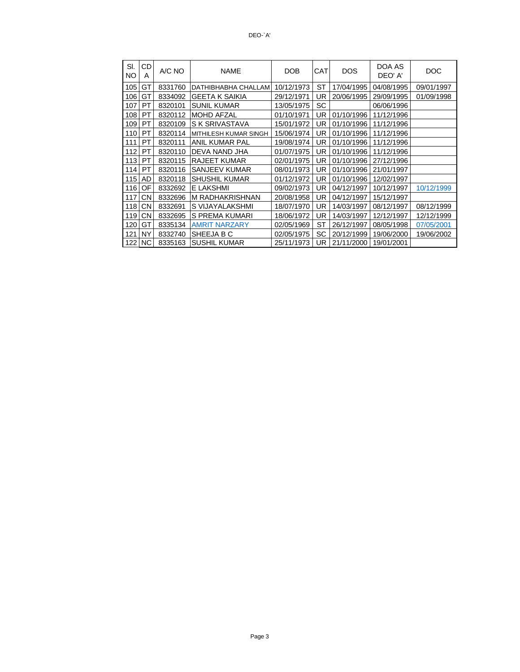| SI.<br><b>NO</b> | CD<br>Α   | A/C NO  | <b>NAME</b>           | DOB        | <b>CAT</b> | <b>DOS</b> | DOA AS<br>DEO' A' | DOC        |
|------------------|-----------|---------|-----------------------|------------|------------|------------|-------------------|------------|
| 105              | GT        | 8331760 | DATHIBHABHA CHALLAM   | 10/12/1973 | ST         | 17/04/1995 | 04/08/1995        | 09/01/1997 |
| 106              | GT        | 8334092 | <b>GEETA K SAIKIA</b> | 29/12/1971 | UR         | 20/06/1995 | 29/09/1995        | 01/09/1998 |
| 107              | PT        | 8320101 | <b>SUNIL KUMAR</b>    | 13/05/1975 | SC         |            | 06/06/1996        |            |
| 108              | PT        | 8320112 | <b>MOHD AFZAL</b>     | 01/10/1971 | UR.        | 01/10/1996 | 11/12/1996        |            |
| 109              | <b>PT</b> | 8320109 | <b>S K SRIVASTAVA</b> | 15/01/1972 | UR         | 01/10/1996 | 11/12/1996        |            |
| 110              | PT        | 8320114 | MITHILESH KUMAR SINGH | 15/06/1974 | UR.        | 01/10/1996 | 11/12/1996        |            |
| 111              | PT        | 8320111 | <b>ANIL KUMAR PAL</b> | 19/08/1974 | UR.        | 01/10/1996 | 11/12/1996        |            |
| 112              | PT        | 8320110 | DEVA NAND JHA         | 01/07/1975 | UR.        | 01/10/1996 | 11/12/1996        |            |
| 113              | PT        | 8320115 | <b>RAJEET KUMAR</b>   | 02/01/1975 | UR.        | 01/10/1996 | 27/12/1996        |            |
| 114              | PT        | 8320116 | SANJEEV KUMAR         | 08/01/1973 | <b>UR</b>  | 01/10/1996 | 21/01/1997        |            |
| 115              | AD        | 8320118 | <b>SHUSHIL KUMAR</b>  | 01/12/1972 | UR.        | 01/10/1996 | 12/02/1997        |            |
| 116              | OF        | 8332692 | E LAKSHMI             | 09/02/1973 | UR.        | 04/12/1997 | 10/12/1997        | 10/12/1999 |
| 117              | СN        | 8332696 | M RADHAKRISHNAN       | 20/08/1958 | UR         | 04/12/1997 | 15/12/1997        |            |
| 118              | <b>CN</b> | 8332691 | S VIJAYALAKSHMI       | 18/07/1970 | UR.        | 14/03/1997 | 08/12/1997        | 08/12/1999 |
| 119              | CN.       | 8332695 | S PREMA KUMARI        | 18/06/1972 | UR.        | 14/03/1997 | 12/12/1997        | 12/12/1999 |
| 120              | GT        | 8335134 | <b>AMRIT NARZARY</b>  | 02/05/1969 | ST         | 26/12/1997 | 08/05/1998        | 07/05/2001 |
| 121              | NY        | 8332740 | SHEEJA B C            | 02/05/1975 | SC         | 20/12/1999 | 19/06/2000        | 19/06/2002 |
| 122              | <b>NC</b> | 8335163 | <b>SUSHIL KUMAR</b>   | 25/11/1973 | UR.        | 21/11/2000 | 19/01/2001        |            |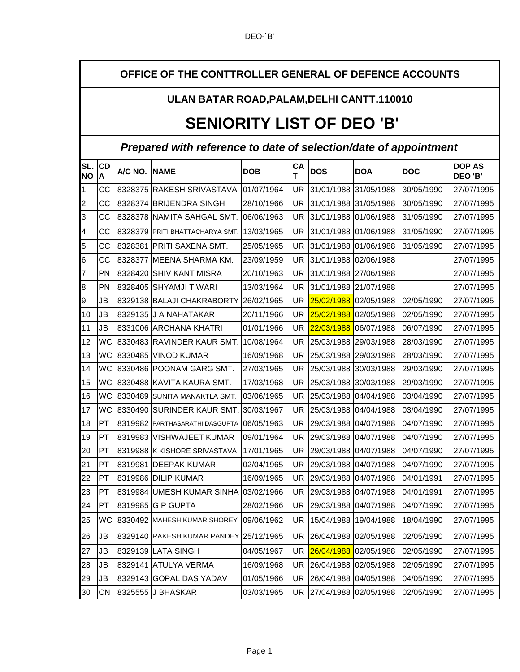### **OFFICE OF THE CONTTROLLER GENERAL OF DEFENCE ACCOUNTS**

#### **ULAN BATAR ROAD,PALAM,DELHI CANTT.110010**

## **SENIORITY LIST OF DEO 'B'**

### **Prepared with reference to date of selection/date of appointment**

| SL.             |                |               |                                           |            | СA |            |             |            | <b>DOP AS</b> |
|-----------------|----------------|---------------|-------------------------------------------|------------|----|------------|-------------|------------|---------------|
| ΝO              | <b>CD</b><br>A | A/C NO. INAME |                                           | <b>DOB</b> | т  | <b>DOS</b> | <b>DOA</b>  | <b>DOC</b> | DEO 'B'       |
| 1               | CС             |               | 8328375 RAKESH SRIVASTAVA                 | 01/07/1964 | UR | 31/01/1988 | 31/05/1988  | 30/05/1990 | 27/07/1995    |
| $\overline{c}$  | CC             |               | 8328374 BRIJENDRA SINGH                   | 28/10/1966 | UR | 31/01/1988 | 31/05/1988  | 30/05/1990 | 27/07/1995    |
| 3               | CC             |               | 8328378   NAMITA SAHGAL SMT.              | 06/06/1963 | UR | 31/01/1988 | 01/06/1988  | 31/05/1990 | 27/07/1995    |
| 4               | CС             |               | 8328379 PRITI BHATTACHARYA SMT.           | 13/03/1965 | UR | 31/01/1988 | 101/06/1988 | 31/05/1990 | 27/07/1995    |
| 5               | CС             | 8328381       | IPRITI SAXENA SMT.                        | 25/05/1965 | UR | 31/01/1988 | 01/06/1988  | 31/05/1990 | 27/07/1995    |
| $6\phantom{.}6$ | CС             | 8328377       | MEENA SHARMA KM.                          | 23/09/1959 | UR | 31/01/1988 | 02/06/1988  |            | 27/07/1995    |
| 7               | <b>PN</b>      |               | 8328420 SHIV KANT MISRA                   | 20/10/1963 | UR | 31/01/1988 | 27/06/1988  |            | 27/07/1995    |
| 8               | PN             |               | 8328405 SHYAMJI TIWARI                    | 13/03/1964 | UR | 31/01/1988 | 21/07/1988  |            | 27/07/1995    |
| 9               | JB             |               | 8329138 BALAJI CHAKRABORTY                | 26/02/1965 | UR | 25/02/1988 | 02/05/1988  | 02/05/1990 | 27/07/1995    |
| 10              | <b>JB</b>      |               | 8329135 J A NAHATAKAR                     | 20/11/1966 | UR | 25/02/1988 | 02/05/1988  | 02/05/1990 | 27/07/1995    |
| 11              | JB             |               | 8331006 ARCHANA KHATRI                    | 01/01/1966 | UR | 22/03/1988 | 06/07/1988  | 06/07/1990 | 27/07/1995    |
| 12              | wс             |               | 8330483 RAVINDER KAUR SMT.                | 10/08/1964 | UR | 25/03/1988 | 29/03/1988  | 28/03/1990 | 27/07/1995    |
| 13              | WC             |               | 8330485 VINOD KUMAR                       | 16/09/1968 | UR | 25/03/1988 | 29/03/1988  | 28/03/1990 | 27/07/1995    |
| 14              | WC             |               | 8330486 POONAM GARG SMT.                  | 27/03/1965 | UR | 25/03/1988 | 30/03/1988  | 29/03/1990 | 27/07/1995    |
| 15              | <b>WC</b>      |               | 8330488 KAVITA KAURA SMT.                 | 17/03/1968 | UR | 25/03/1988 | 30/03/1988  | 29/03/1990 | 27/07/1995    |
| 16              | WC             | 8330489       | SUNITA MANAKTLA SMT.                      | 03/06/1965 | UR | 25/03/1988 | 04/04/1988  | 03/04/1990 | 27/07/1995    |
| 17              | wс             |               | 8330490 SURINDER KAUR SMT.                | 30/03/1967 | UR | 25/03/1988 | 104/04/1988 | 03/04/1990 | 27/07/1995    |
| 18              | PT             |               | 8319982 PARTHASARATHI DASGUPTA 06/05/1963 |            | UR | 29/03/1988 | 04/07/1988  | 04/07/1990 | 27/07/1995    |
| 19              | PT             |               | 8319983   VISHWAJEET KUMAR                | 09/01/1964 | UR | 29/03/1988 | 04/07/1988  | 04/07/1990 | 27/07/1995    |
| 20              | PТ             |               | 8319988 K KISHORE SRIVASTAVA              | 17/01/1965 | UR | 29/03/1988 | 04/07/1988  | 04/07/1990 | 27/07/1995    |
| 21              | PT             | 8319981       | <b>DEEPAK KUMAR</b>                       | 02/04/1965 | UR | 29/03/1988 | 04/07/1988  | 04/07/1990 | 27/07/1995    |
| 22              | PT             | 8319986       | <b>DILIP KUMAR</b>                        | 16/09/1965 | UR | 29/03/1988 | 04/07/1988  | 04/01/1991 | 27/07/1995    |
| 23              | PT             | 8319984       | UMESH KUMAR SINHA                         | 03/02/1966 | UR | 29/03/1988 | 04/07/1988  | 04/01/1991 | 27/07/1995    |
| 24              | PT             | 8319985       | <b>G P GUPTA</b>                          | 28/02/1966 | UR | 29/03/1988 | 04/07/1988  | 04/07/1990 | 27/07/1995    |
| 25              | WC             |               | 8330492 MAHESH KUMAR SHOREY               | 09/06/1962 | UR | 15/04/1988 | 19/04/1988  | 18/04/1990 | 27/07/1995    |
| 26              | JB             |               | 8329140 RAKESH KUMAR PANDEY 25/12/1965    |            | UR | 26/04/1988 | 02/05/1988  | 02/05/1990 | 27/07/1995    |
| 27              | JB             | 8329139       | <b>LATA SINGH</b>                         | 04/05/1967 | UR | 26/04/1988 | 02/05/1988  | 02/05/1990 | 27/07/1995    |
| 28              | JB             | 8329141       | <b>ATULYA VERMA</b>                       | 16/09/1968 | UR | 26/04/1988 | 02/05/1988  | 02/05/1990 | 27/07/1995    |
| 29              | JB             | 8329143       | <b>GOPAL DAS YADAV</b>                    | 01/05/1966 | UR | 26/04/1988 | 04/05/1988  | 04/05/1990 | 27/07/1995    |
| 30              | CN             |               | 8325555 J BHASKAR                         | 03/03/1965 | UR | 27/04/1988 | 02/05/1988  | 02/05/1990 | 27/07/1995    |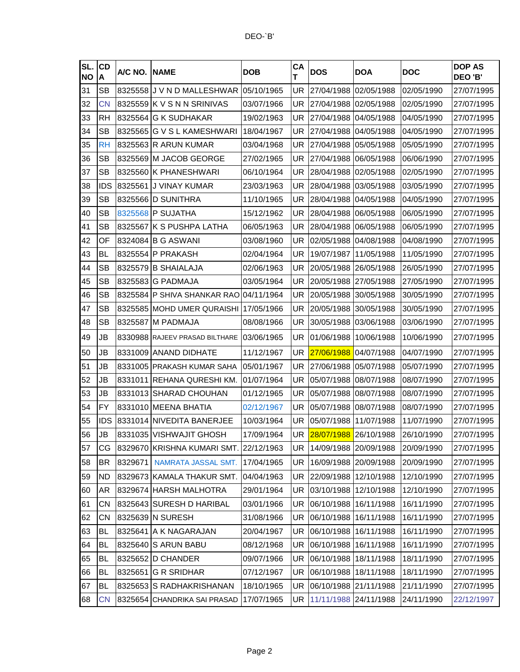| SL.<br><b>NO</b> | CD<br>Α    | A/C NO. NAME |                                           | <b>DOB</b> | <b>CA</b><br>т | <b>DOS</b> | <b>DOA</b> | <b>DOC</b> | <b>DOP AS</b><br>DEO 'B' |
|------------------|------------|--------------|-------------------------------------------|------------|----------------|------------|------------|------------|--------------------------|
| 31               | <b>SB</b>  |              | 8325558 J V N D MALLESHWAR                | 05/10/1965 | UR             | 27/04/1988 | 02/05/1988 | 02/05/1990 | 27/07/1995               |
| 32               | <b>CN</b>  |              | 8325559 K V S N N SRINIVAS                | 03/07/1966 | UR             | 27/04/1988 | 02/05/1988 | 02/05/1990 | 27/07/1995               |
| 33               | <b>RH</b>  |              | 8325564 G K SUDHAKAR                      | 19/02/1963 | UR             | 27/04/1988 | 04/05/1988 | 04/05/1990 | 27/07/1995               |
| 34               | <b>SB</b>  |              | 8325565 G V S L KAMESHWARI                | 18/04/1967 | UR             | 27/04/1988 | 04/05/1988 | 04/05/1990 | 27/07/1995               |
| 35               | <b>RH</b>  |              | 8325563 R ARUN KUMAR                      | 03/04/1968 | UR             | 27/04/1988 | 05/05/1988 | 05/05/1990 | 27/07/1995               |
| 36               | <b>SB</b>  |              | 8325569 M JACOB GEORGE                    | 27/02/1965 | UR             | 27/04/1988 | 06/05/1988 | 06/06/1990 | 27/07/1995               |
| 37               | <b>SB</b>  |              | 8325560 K PHANESHWARI                     | 06/10/1964 | UR             | 28/04/1988 | 02/05/1988 | 02/05/1990 | 27/07/1995               |
| 38               | IDS        |              | 8325561 JJ VINAY KUMAR                    | 23/03/1963 | UR             | 28/04/1988 | 03/05/1988 | 03/05/1990 | 27/07/1995               |
| 39               | <b>SB</b>  |              | 8325566 D SUNITHRA                        | 11/10/1965 | UR             | 28/04/1988 | 04/05/1988 | 04/05/1990 | 27/07/1995               |
| 40               | <b>SB</b>  |              | 8325568 P SUJATHA                         | 15/12/1962 | UR             | 28/04/1988 | 06/05/1988 | 06/05/1990 | 27/07/1995               |
| 41               | <b>SB</b>  |              | 8325567 K S PUSHPA LATHA                  | 06/05/1963 | UR             | 28/04/1988 | 06/05/1988 | 06/05/1990 | 27/07/1995               |
| 42               | OF         |              | 8324084 B G ASWANI                        | 03/08/1960 | UR             | 02/05/1988 | 04/08/1988 | 04/08/1990 | 27/07/1995               |
| 43               | BL         |              | 8325554 P PRAKASH                         | 02/04/1964 | UR             | 19/07/1987 | 11/05/1988 | 11/05/1990 | 27/07/1995               |
| 44               | <b>SB</b>  |              | 8325579 B SHAIALAJA                       | 02/06/1963 | UR             | 20/05/1988 | 26/05/1988 | 26/05/1990 | 27/07/1995               |
| 45               | <b>SB</b>  |              | 8325583 G PADMAJA                         | 03/05/1964 | UR             | 20/05/1988 | 27/05/1988 | 27/05/1990 | 27/07/1995               |
| 46               | <b>SB</b>  |              | 8325584 P SHIVA SHANKAR RAO               | 04/11/1964 | UR             | 20/05/1988 | 30/05/1988 | 30/05/1990 | 27/07/1995               |
| 47               | <b>SB</b>  |              | 8325585 MOHD UMER QURAISHI 17/05/1966     |            | UR             | 20/05/1988 | 30/05/1988 | 30/05/1990 | 27/07/1995               |
| 48               | <b>SB</b>  |              | 8325587 M PADMAJA                         | 08/08/1966 | UR             | 30/05/1988 | 03/06/1988 | 03/06/1990 | 27/07/1995               |
| 49               | JB         |              | 8330988 RAJEEV PRASAD BILTHARE 03/06/1965 |            | UR             | 01/06/1988 | 10/06/1988 | 10/06/1990 | 27/07/1995               |
| 50               | JB         |              | 8331009 ANAND DIDHATE                     | 11/12/1967 | <b>UR</b>      | 27/06/1988 | 04/07/1988 | 04/07/1990 | 27/07/1995               |
| 51               | JB         |              | 8331005 PRAKASH KUMAR SAHA                | 05/01/1967 | UR             | 27/06/1988 | 05/07/1988 | 05/07/1990 | 27/07/1995               |
| 52               | JB         | 8331011      | <b>IREHANA QURESHI KM.</b>                | 01/07/1964 | UR             | 05/07/1988 | 08/07/1988 | 08/07/1990 | 27/07/1995               |
| 53               | JB         |              | 8331013 SHARAD CHOUHAN                    | 01/12/1965 | UR             | 05/07/1988 | 08/07/1988 | 08/07/1990 | 27/07/1995               |
| 54               | FY         |              | 8331010 MEENA BHATIA                      | 02/12/1967 | UR             | 05/07/1988 | 08/07/1988 | 08/07/1990 | 27/07/1995               |
| 55               | <b>IDS</b> |              | 8331014 NIVEDITA BANERJEE                 | 10/03/1964 | UR             | 05/07/1988 | 11/07/1988 | 11/07/1990 | 27/07/1995               |
| 56               | JB         |              | 8331035 VISHWAJIT GHOSH                   | 17/09/1964 | <b>UR</b>      | 28/07/1988 | 26/10/1988 | 26/10/1990 | 27/07/1995               |
| 57               | СG         |              | 8329670 KRISHNA KUMARI SMT.               | 22/12/1963 | UR             | 14/09/1988 | 20/09/1988 | 20/09/1990 | 27/07/1995               |
| 58               | ΒR         | 8329671      | NAMRATA JASSAL SMT.                       | 17/04/1965 | UR             | 16/09/1988 | 20/09/1988 | 20/09/1990 | 27/07/1995               |
| 59               | ND         |              | 8329673 KAMALA THAKUR SMT.                | 04/04/1963 | UR             | 22/09/1988 | 12/10/1988 | 12/10/1990 | 27/07/1995               |
| 60               | AR         |              | 8329674 HARSH MALHOTRA                    | 29/01/1964 | UR.            | 03/10/1988 | 12/10/1988 | 12/10/1990 | 27/07/1995               |
| 61               | CN         |              | 8325643 SURESH D HARIBAL                  | 03/01/1966 | UR             | 06/10/1988 | 16/11/1988 | 16/11/1990 | 27/07/1995               |
| 62               | CN         |              | 8325639 N SURESH                          | 31/08/1966 | UR             | 06/10/1988 | 16/11/1988 | 16/11/1990 | 27/07/1995               |
| 63               | BL         | 8325641      | A K NAGARAJAN                             | 20/04/1967 | UR             | 06/10/1988 | 16/11/1988 | 16/11/1990 | 27/07/1995               |
| 64               | BL         |              | 8325640 S ARUN BABU                       | 08/12/1968 | UR             | 06/10/1988 | 16/11/1988 | 16/11/1990 | 27/07/1995               |
| 65               | BL         |              | 8325652   D CHANDER                       | 09/07/1966 | UR             | 06/10/1988 | 18/11/1988 | 18/11/1990 | 27/07/1995               |
| 66               | BL         | 8325651      | <b>G R SRIDHAR</b>                        | 07/12/1967 | UR             | 06/10/1988 | 18/11/1988 | 18/11/1990 | 27/07/1995               |
| 67               | BL         |              | 8325653 S RADHAKRISHANAN                  | 18/10/1965 | UR             | 06/10/1988 | 21/11/1988 | 21/11/1990 | 27/07/1995               |
| 68               | <b>CN</b>  |              | 8325654 CHANDRIKA SAI PRASAD              | 17/07/1965 | UR             | 11/11/1988 | 24/11/1988 | 24/11/1990 | 22/12/1997               |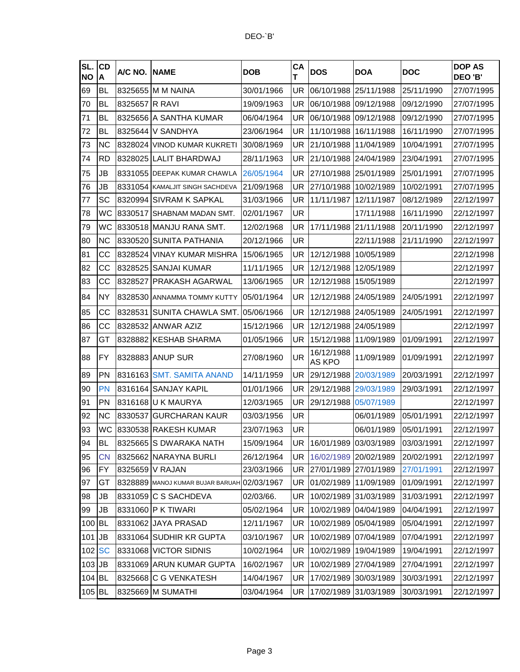| SL.<br><b>NO</b> | CD<br>A    | A/C NO. | <b>NAME</b>                                 | <b>DOB</b> | CA<br>т   | <b>DOS</b>            | <b>DOA</b> | <b>DOC</b> | <b>DOP AS</b><br>DEO 'B' |
|------------------|------------|---------|---------------------------------------------|------------|-----------|-----------------------|------------|------------|--------------------------|
| 69               | <b>BL</b>  | 8325655 | <b>MM NAINA</b>                             | 30/01/1966 | UR        | 06/10/1988            | 25/11/1988 | 25/11/1990 | 27/07/1995               |
| 70               | <b>BL</b>  | 8325657 | IR RAVI                                     | 19/09/1963 | UR        | 06/10/1988            | 09/12/1988 | 09/12/1990 | 27/07/1995               |
| 71               | <b>BL</b>  | 8325656 | <b>A SANTHA KUMAR</b>                       | 06/04/1964 | UR        | 06/10/1988            | 09/12/1988 | 09/12/1990 | 27/07/1995               |
| 72               | <b>BL</b>  | 8325644 | V SANDHYA                                   | 23/06/1964 | UR        | 11/10/1988            | 16/11/1988 | 16/11/1990 | 27/07/1995               |
| 73               | <b>NC</b>  |         | 8328024 VINOD KUMAR KUKRETI                 | 30/08/1969 | UR        | 21/10/1988            | 11/04/1989 | 10/04/1991 | 27/07/1995               |
| 74               | <b>RD</b>  | 8328025 | <b>LALIT BHARDWAJ</b>                       | 28/11/1963 | UR        | 21/10/1988            | 24/04/1989 | 23/04/1991 | 27/07/1995               |
| 75               | JB         |         | 8331055 DEEPAK KUMAR CHAWLA                 | 26/05/1964 | UR        | 27/10/1988            | 25/01/1989 | 25/01/1991 | 27/07/1995               |
| 76               | JB         |         | 8331054 KAMALJIT SINGH SACHDEVA             | 21/09/1968 | UR        | 27/10/1988            | 10/02/1989 | 10/02/1991 | 27/07/1995               |
| 77               | SC         |         | 8320994 SIVRAM K SAPKAL                     | 31/03/1966 | UR        | 11/11/1987            | 12/11/1987 | 08/12/1989 | 22/12/1997               |
| 78               | WC         | 8330517 | SHABNAM MADAN SMT.                          | 02/01/1967 | UR        |                       | 17/11/1988 | 16/11/1990 | 22/12/1997               |
| 79               | <b>WC</b>  |         | 8330518 MANJU RANA SMT.                     | 12/02/1968 | UR        | 17/11/1988            | 21/11/1988 | 20/11/1990 | 22/12/1997               |
| 80               | <b>NC</b>  | 8330520 | <b>SUNITA PATHANIA</b>                      | 20/12/1966 | UR        |                       | 22/11/1988 | 21/11/1990 | 22/12/1997               |
| 81               | CС         | 8328524 | <b>VINAY KUMAR MISHRA</b>                   | 15/06/1965 | UR        | 12/12/1988            | 10/05/1989 |            | 22/12/1998               |
| 82               | CC         | 8328525 | ISANJAI KUMAR                               | 11/11/1965 | UR        | 12/12/1988            | 12/05/1989 |            | 22/12/1997               |
| 83               | CС         | 8328527 | PRAKASH AGARWAL                             | 13/06/1965 | UR        | 12/12/1988            | 15/05/1989 |            | 22/12/1997               |
| 84               | <b>NY</b>  |         | 8328530 ANNAMMA TOMMY KUTTY                 | 05/01/1964 | UR        | 12/12/1988            | 24/05/1989 | 24/05/1991 | 22/12/1997               |
| 85               | CC         | 8328531 | SUNITA CHAWLA SMT.                          | 05/06/1966 | UR        | 12/12/1988            | 24/05/1989 | 24/05/1991 | 22/12/1997               |
| 86               | CC         |         | 8328532 ANWAR AZIZ                          | 15/12/1966 | UR        | 12/12/1988            | 24/05/1989 |            | 22/12/1997               |
| 87               | GT         | 8328882 | <b>KESHAB SHARMA</b>                        | 01/05/1966 | UR        | 15/12/1988            | 11/09/1989 | 01/09/1991 | 22/12/1997               |
| 88               | FY         |         | 8328883 ANUP SUR                            | 27/08/1960 | UR        | 16/12/1988<br>AS KPO  | 11/09/1989 | 01/09/1991 | 22/12/1997               |
| 89               | PN         | 8316163 | <b>SMT. SAMITA ANAND</b>                    | 14/11/1959 | UR        | 29/12/1988            | 20/03/1989 | 20/03/1991 | 22/12/1997               |
| 90               | <b>PN</b>  |         | 8316164 SANJAY KAPIL                        | 01/01/1966 | UR        | 29/12/1988            | 29/03/1989 | 29/03/1991 | 22/12/1997               |
| 91               | PN         | 8316168 | U K MAURYA                                  | 12/03/1965 | UR        | 29/12/1988            | 05/07/1989 |            | 22/12/1997               |
| 92               | <b>NC</b>  | 8330537 | <b>GURCHARAN KAUR</b>                       | 03/03/1956 | UR        |                       | 06/01/1989 | 05/01/1991 | 22/12/1997               |
| 93               | WC         |         | 8330538 RAKESH KUMAR                        | 23/07/1963 | UR.       |                       | 06/01/1989 | 05/01/1991 | 22/12/1997               |
| 94               | <b>BL</b>  |         | 8325665 S DWARAKA NATH                      | 15/09/1964 | UR.       | 16/01/1989 03/03/1989 |            | 03/03/1991 | 22/12/1997               |
| 95               | <b>CN</b>  |         | 8325662 NARAYNA BURLI                       | 26/12/1964 | UR.       | 16/02/1989 20/02/1989 |            | 20/02/1991 | 22/12/1997               |
| 96               | FY         |         | 8325659 V RAJAN                             | 23/03/1966 | UR.       | 27/01/1989            | 27/01/1989 | 27/01/1991 | 22/12/1997               |
| 97               | GT         |         | 8328889 MANOJ KUMAR BUJAR BARUAH 02/03/1967 |            | UR.       | 01/02/1989            | 11/09/1989 | 01/09/1991 | 22/12/1997               |
| 98               | JB         |         | 8331059 C S SACHDEVA                        | 02/03/66.  | UR        | 10/02/1989            | 31/03/1989 | 31/03/1991 | 22/12/1997               |
| 99               | ${\sf JB}$ |         | 8331060 P K TIWARI                          | 05/02/1964 | <b>UR</b> | 10/02/1989            | 04/04/1989 | 04/04/1991 | 22/12/1997               |
| 100 BL           |            |         | 8331062 JAYA PRASAD                         | 12/11/1967 | UR.       | 10/02/1989            | 05/04/1989 | 05/04/1991 | 22/12/1997               |
| $101$ JB         |            |         | 8331064 SUDHIR KR GUPTA                     | 03/10/1967 | UR        | 10/02/1989            | 07/04/1989 | 07/04/1991 | 22/12/1997               |
| 102 SC           |            |         | 8331068 VICTOR SIDNIS                       | 10/02/1964 | <b>UR</b> | 10/02/1989            | 19/04/1989 | 19/04/1991 | 22/12/1997               |
| 103 JB           |            |         | 8331069 ARUN KUMAR GUPTA                    | 16/02/1967 | UR.       | 10/02/1989            | 27/04/1989 | 27/04/1991 | 22/12/1997               |
| 104 BL           |            |         | 8325668 C G VENKATESH                       | 14/04/1967 | UR        | 17/02/1989            | 30/03/1989 | 30/03/1991 | 22/12/1997               |
| 105 BL           |            |         | 8325669 M SUMATHI                           | 03/04/1964 | <b>UR</b> | 17/02/1989            | 31/03/1989 | 30/03/1991 | 22/12/1997               |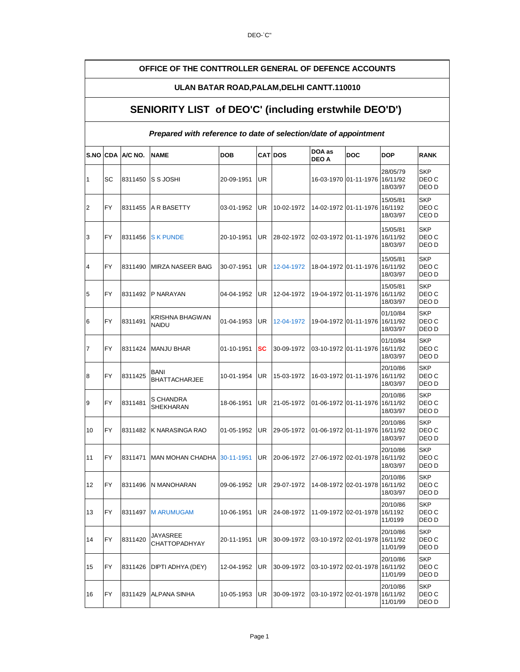#### **OFFICE OF THE CONTTROLLER GENERAL OF DEFENCE ACCOUNTS**

#### **ULAN BATAR ROAD,PALAM,DELHI CANTT.110010**

#### **SENIORITY LIST of DEO'C' (including erstwhile DEO'D')**

#### **Prepared with reference to date of selection/date of appointment**

| <b>S.NO</b>    | <b>CDA</b> | A/C NO. | <b>NAME</b>                         | <b>DOB</b> |           | <b>CAT DOS</b> | DOA as<br><b>DEO A</b> | <b>DOC</b>                     | DOP                              | <b>RANK</b>                  |
|----------------|------------|---------|-------------------------------------|------------|-----------|----------------|------------------------|--------------------------------|----------------------------------|------------------------------|
| 1              | SC         | 8311450 | S S JOSHI                           | 20-09-1951 | UR        |                |                        | 16-03-1970 01-11-1976 16/11/92 | 28/05/79<br>18/03/97             | <b>SKP</b><br>DEO C<br>DEO D |
| $\overline{2}$ | FY         | 8311455 | A R BASETTY                         | 03-01-1952 | UR        | 10-02-1972     |                        | 14-02-1972 01-11-1976          | 15/05/81<br>16/1192<br>18/03/97  | <b>SKP</b><br>DEO C<br>CEO D |
| 3              | <b>FY</b>  | 8311456 | <b>SK PUNDE</b>                     | 20-10-1951 | <b>UR</b> | 28-02-1972     |                        | 02-03-1972 01-11-1976 16/11/92 | 15/05/81<br>18/03/97             | <b>SKP</b><br>DEO C<br>DEO D |
| 4              | <b>FY</b>  | 8311490 | MIRZA NASEER BAIG                   | 30-07-1951 | <b>UR</b> | 12-04-1972     |                        | 18-04-1972 01-11-1976          | 15/05/81<br>16/11/92<br>18/03/97 | <b>SKP</b><br>DEO C<br>DEO D |
| 5              | <b>FY</b>  | 8311492 | P NARAYAN                           | 04-04-1952 | UR        | 12-04-1972     |                        | 19-04-1972 01-11-1976          | 15/05/81<br>16/11/92<br>18/03/97 | <b>SKP</b><br>DEO C<br>DEO D |
| 6              | <b>FY</b>  | 8311491 | KRISHNA BHAGWAN<br><b>NAIDU</b>     | 01-04-1953 | <b>UR</b> | 12-04-1972     |                        | 19-04-1972 01-11-1976          | 01/10/84<br>16/11/92<br>18/03/97 | <b>SKP</b><br>DEO C<br>DEO D |
| 7              | <b>FY</b>  | 8311424 | <b>MANJU BHAR</b>                   | 01-10-1951 | SC        | 30-09-1972     |                        | 03-10-1972 01-11-1976          | 01/10/84<br>16/11/92<br>18/03/97 | <b>SKP</b><br>DEO C<br>DEO D |
| 8              | FY         | 8311425 | <b>BANI</b><br><b>BHATTACHARJEE</b> | 10-01-1954 | UR        | 15-03-1972     |                        | 16-03-1972 01-11-1976          | 20/10/86<br>16/11/92<br>18/03/97 | <b>SKP</b><br>DEO C<br>DEO D |
| 9              | FY         | 8311481 | S CHANDRA<br><b>SHEKHARAN</b>       | 18-06-1951 | <b>UR</b> | 21-05-1972     |                        | 01-06-1972 01-11-1976          | 20/10/86<br>16/11/92<br>18/03/97 | <b>SKP</b><br>DEO C<br>DEO D |
| 10             | FY         | 8311482 | K NARASINGA RAO                     | 01-05-1952 | <b>UR</b> | 29-05-1972     |                        | 01-06-1972 01-11-1976          | 20/10/86<br>16/11/92<br>18/03/97 | <b>SKP</b><br>DEO C<br>DEO D |
| 11             | FY         | 8311471 | <b>MAN MOHAN CHADHA</b>             | 30-11-1951 | <b>UR</b> | 20-06-1972     | 27-06-1972 02-01-1978  |                                | 20/10/86<br>16/11/92<br>18/03/97 | <b>SKP</b><br>DEO C<br>DEO D |
| 12             | <b>FY</b>  | 8311496 | N MANOHARAN                         | 09-06-1952 | UR        | 29-07-1972     |                        | 14-08-1972 02-01-1978          | 20/10/86<br>16/11/92<br>18/03/97 | <b>SKP</b><br>DEO C<br>DEO D |
| 13             | FY         | 8311497 | <b>M ARUMUGAM</b>                   | 10-06-1951 | <b>UR</b> | 24-08-1972     |                        | 11-09-1972 02-01-1978          | 20/10/86<br>16/1192<br>11/0199   | <b>SKP</b><br>DEO C<br>DEO D |
| 14             | FY         | 8311420 | JAYASREE<br><b>CHATTOPADHYAY</b>    | 20-11-1951 | UR        | 30-09-1972     |                        | 03-10-1972 02-01-1978          | 20/10/86<br>16/11/92<br>11/01/99 | <b>SKP</b><br>DEO C<br>DEO D |
| 15             | FY         | 8311426 | DIPTI ADHYA (DEY)                   | 12-04-1952 | UR        | 30-09-1972     |                        | 03-10-1972 02-01-1978          | 20/10/86<br>16/11/92<br>11/01/99 | <b>SKP</b><br>DEO C<br>DEO D |
| 16             | FY         | 8311429 | ALPANA SINHA                        | 10-05-1953 | UR        | 30-09-1972     |                        | 03-10-1972 02-01-1978          | 20/10/86<br>16/11/92<br>11/01/99 | <b>SKP</b><br>DEO C<br>DEO D |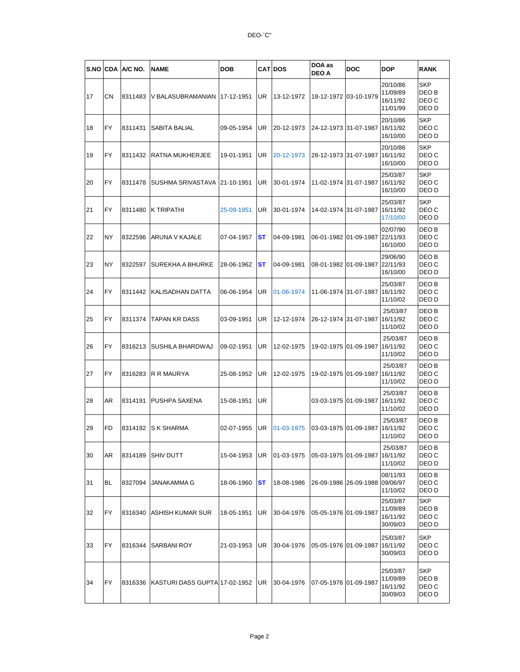|    |           | S.NO CDA A/C NO. | <b>NAME</b>                             | <b>DOB</b> |           | <b>CAT DOS</b> | DOA as<br><b>DEO A</b> | <b>DOC</b>                     | <b>DOP</b>                                   | <b>RANK</b>                                      |
|----|-----------|------------------|-----------------------------------------|------------|-----------|----------------|------------------------|--------------------------------|----------------------------------------------|--------------------------------------------------|
| 17 | CΝ        | 8311483          | V BALASUBRAMANIAN                       | 17-12-1951 | <b>UR</b> | 13-12-1972     | 18-12-1972 03-10-1979  |                                | 20/10/86<br>11/09/89<br>16/11/92<br>11/01/99 | <b>SKP</b><br>DEO B<br>DEO C<br>DEO D            |
| 18 | <b>FY</b> | 8311431          | <b>SABITA BALIAL</b>                    | 09-05-1954 | <b>UR</b> | 20-12-1973     | 24-12-1973 31-07-1987  |                                | 20/10/86<br>16/11/92<br>16/10/00             | <b>SKP</b><br>DEO C<br>DEO D                     |
| 19 | <b>FY</b> | 8311432          | <b>RATNA MUKHERJEE</b>                  | 19-01-1951 | UR        | 20-12-1973     | 28-12-1973 31-07-1987  |                                | 20/10/86<br>16/11/92<br>16/10/00             | <b>SKP</b><br>DEO C<br>DEO D                     |
| 20 | FY        | 8311478          | SUSHMA SRIVASTAVA                       | 21-10-1951 | UR        | 30-01-1974     |                        | 11-02-1974 31-07-1987          | 25/03/87<br>16/11/92<br>16/10/00             | <b>SKP</b><br>DEO C<br>DEO D                     |
| 21 | <b>FY</b> | 8311480          | K TRIPATHI                              | 25-09-1951 | UR        | 30-01-1974     | 14-02-1974 31-07-1987  |                                | 25/03/87<br>16/11/92<br>17/10/00             | <b>SKP</b><br>DEO C<br>DEO D                     |
| 22 | NY        | 8322596          | ARUNA V KAJALE                          | 07-04-1957 | ST        | 04-09-1981     | 06-01-1982 01-09-1987  |                                | 02/07/90<br>22/11/93<br>16/10/00             | DEO B<br>DEO C<br>DEO D                          |
| 23 | <b>NY</b> | 8322597          | SUREKHA A BHURKE                        | 28-06-1962 | ST        | 04-09-1981     |                        | 08-01-1982 01-09-1987 22/11/93 | 29/06/90<br>16/10/00                         | DEO B<br>DEO C<br>DEO D                          |
| 24 | FY        | 8311442          | <b>KALISADHAN DATTA</b>                 | 06-06-1954 | UR        | 01-06-1974     |                        | 11-06-1974 31-07-1987 16/11/92 | 25/03/87<br>11/10/02                         | DEO B<br>DEO C<br>DEO D                          |
| 25 | <b>FY</b> | 8311374          | TAPAN KR DASS                           | 03-09-1951 | <b>UR</b> | 12-12-1974     |                        | 26-12-1974 31-07-1987          | 25/03/87<br>16/11/92<br>11/10/02             | DEO B<br>DEO C<br>DEO D                          |
| 26 | FY        | 8316213          | SUSHILA BHARDWAJ                        | 09-02-1951 | UR        | 12-02-1975     | 19-02-1975             | 01-09-1987                     | 25/03/87<br>16/11/92<br>11/10/02             | DEO B<br>DEO C<br>DEO D                          |
| 27 | <b>FY</b> | 8316283          | R R MAURYA                              | 25-08-1952 | UR        | 12-02-1975     | 19-02-1975 01-09-1987  |                                | 25/03/87<br>16/11/92<br>11/10/02             | DEO B<br>DEO C<br>DEO D                          |
| 28 | AR        | 8314191          | PUSHPA SAXENA                           | 15-08-1951 | UR        |                | 03-03-1975 01-09-1987  |                                | 25/03/87<br>16/11/92<br>11/10/02             | DEO <sub>B</sub><br>DEO C<br>DEO D               |
| 29 | FD        | 8314192          | <b>S K SHARMA</b>                       | 02-07-1955 | UR        | 01-03-1975     | 03-03-1975 01-09-1987  |                                | 25/03/87<br>16/11/92<br>11/10/02             | DEO B<br>DEO C<br>DEO D                          |
| 30 | AR        | 8314189          | <b>SHIV DUTT</b>                        | 15-04-1953 | UR        | 01-03-1975     | 05-03-1975 01-09-1987  |                                | 25/03/87<br>16/11/92<br>11/10/02             | DEO B<br>DEO C<br>DEO D                          |
| 31 | BL        | 8327094          | <b>JANAKAMMA G</b>                      | 18-06-1960 | ST        | 18-08-1986     |                        | 26-09-1986 26-09-1988          | 08/11/93<br>09/06/97<br>11/10/02             | DEO B<br>DEO C<br>DEO D                          |
| 32 | <b>FY</b> | 8316340          | <b>ASHISH KUMAR SUR</b>                 | 18-05-1951 | UR        | 30-04-1976     | 05-05-1976 01-09-1987  |                                | 25/03/87<br>11/09/89<br>16/11/92<br>30/09/03 | <b>SKP</b><br>DEO <sub>B</sub><br>DEO C<br>DEO D |
| 33 | <b>FY</b> | 8316344          | SARBANI ROY                             | 21-03-1953 | UR        | 30-04-1976     | 05-05-1976 01-09-1987  |                                | 25/03/87<br>16/11/92<br>30/09/03             | <b>SKP</b><br>DEO C<br>DEO D                     |
| 34 | <b>FY</b> |                  | 8316336   KASTURI DASS GUPTA 17-02-1952 |            | <b>UR</b> | 30-04-1976     | 07-05-1976 01-09-1987  |                                | 25/03/87<br>11/09/89<br>16/11/92<br>30/09/03 | <b>SKP</b><br>DEO B<br>DEO C<br>DEO D            |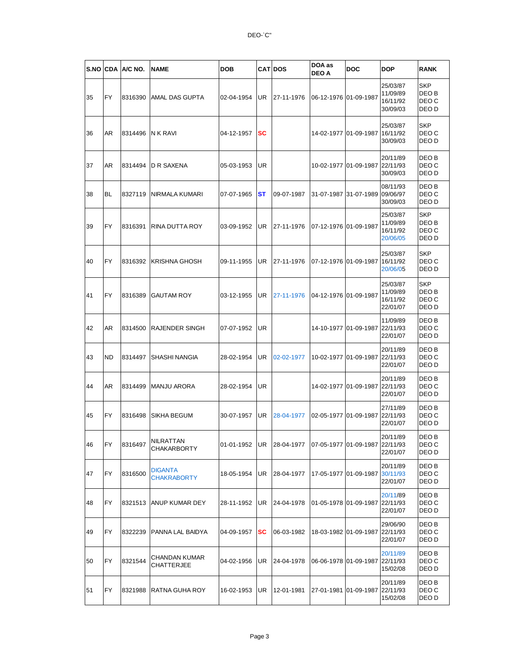|    |           | S.NO CDA A/C NO. | <b>NAME</b>                        | DOB        |           | <b>CAT DOS</b> | DOA as<br><b>DEO A</b> | <b>DOC</b>                     | <b>DOP</b>                                   | <b>RANK</b>                           |
|----|-----------|------------------|------------------------------------|------------|-----------|----------------|------------------------|--------------------------------|----------------------------------------------|---------------------------------------|
| 35 | FY        | 8316390          | AMAL DAS GUPTA                     | 02-04-1954 | UR        | 27-11-1976     | 06-12-1976 01-09-1987  |                                | 25/03/87<br>11/09/89<br>16/11/92<br>30/09/03 | <b>SKP</b><br>DEO B<br>DEO C<br>DEO D |
| 36 | AR        | 8314496          | N K RAVI                           | 04-12-1957 | sc        |                | 14-02-1977             | 01-09-1987                     | 25/03/87<br>16/11/92<br>30/09/03             | <b>SKP</b><br>DEO C<br>DEO D          |
| 37 | AR        | 8314494          | D R SAXENA                         | 05-03-1953 | <b>UR</b> |                | 10-02-1977 01-09-1987  |                                | 20/11/89<br>22/11/93<br>30/09/03             | DEO B<br>DEO C<br>DEO D               |
| 38 | BL        | 8327119          | NIRMALA KUMARI                     | 07-07-1965 | ST        | 09-07-1987     | 31-07-1987             | 31-07-1989                     | 08/11/93<br>09/06/97<br>30/09/03             | DEO B<br>DEO C<br>DEO D               |
| 39 | <b>FY</b> | 8316391          | <b>RINA DUTTA ROY</b>              | 03-09-1952 | UR        | 27-11-1976     | 07-12-1976 01-09-1987  |                                | 25/03/87<br>11/09/89<br>16/11/92<br>20/06/05 | <b>SKP</b><br>DEO B<br>DEO C<br>DEO D |
| 40 | FY        | 8316392          | KRISHNA GHOSH                      | 09-11-1955 | UR        | 27-11-1976     | 07-12-1976 01-09-1987  |                                | 25/03/87<br>16/11/92<br>20/06/05             | <b>SKP</b><br>DEO C<br>DEO D          |
| 41 | <b>FY</b> | 8316389          | <b>GAUTAM ROY</b>                  | 03-12-1955 | UR        | 27-11-1976     | 04-12-1976             | 01-09-1987                     | 25/03/87<br>11/09/89<br>16/11/92<br>22/01/07 | <b>SKP</b><br>DEO B<br>DEO C<br>DEO D |
| 42 | AR        | 8314500          | <b>RAJENDER SINGH</b>              | 07-07-1952 | <b>UR</b> |                | 14-10-1977 01-09-1987  |                                | 11/09/89<br>22/11/93<br>22/01/07             | DEO B<br>DEO C<br>DEO D               |
| 43 | ND        | 8314497          | <b>SHASHI NANGIA</b>               | 28-02-1954 | UR        | 02-02-1977     | 10-02-1977             | 01-09-1987                     | 20/11/89<br>22/11/93<br>22/01/07             | DEO B<br>DEO C<br>DEO D               |
| 44 | AR        | 8314499          | <b>MANJU ARORA</b>                 | 28-02-1954 | UR        |                | 14-02-1977             | 01-09-1987 22/11/93            | 20/11/89<br>22/01/07                         | DEO B<br>DEO C<br>DEO D               |
| 45 | FY        | 8316498          | <b>SIKHA BEGUM</b>                 | 30-07-1957 | UR        | 28-04-1977     | 02-05-1977             | 01-09-1987                     | 27/11/89<br>22/11/93<br>22/01/07             | DEO B<br>DEO C<br>DEO D               |
| 46 | FY        | 8316497          | NILRATTAN<br><b>CHAKARBORTY</b>    | 01-01-1952 | UR        | 28-04-1977     |                        | 07-05-1977 01-09-1987 22/11/93 | 20/11/89<br>22/01/07                         | DEO B<br>DEO C<br>DEO D               |
| 47 | FY        | 8316500          | DIGANTA<br><b>CHAKRABORTY</b>      | 18-05-1954 | UR        | 28-04-1977     | 17-05-1977             | 01-09-1987                     | 20/11/89<br>30/11/93<br>22/01/07             | DEO B<br>DEO C<br>DEO D               |
| 48 | FY        | 8321513          | ANUP KUMAR DEY                     | 28-11-1952 | UR        | 24-04-1978     |                        | 01-05-1978 01-09-1987 22/11/93 | 20/11/89<br>22/01/07                         | DEO B<br>DEO C<br>DEO D               |
| 49 | FY        | 8322239          | PANNA LAL BAIDYA                   | 04-09-1957 | sc        | 06-03-1982     | 18-03-1982 01-09-1987  |                                | 29/06/90<br>22/11/93<br>22/01/07             | DEO B<br>DEO C<br>DEO D               |
| 50 | FY        | 8321544          | CHANDAN KUMAR<br><b>CHATTERJEE</b> | 04-02-1956 | UR        | 24-04-1978     | 06-06-1978 01-09-1987  |                                | 20/11/89<br>22/11/93<br>15/02/08             | DEO B<br>DEO C<br>DEO D               |
| 51 | FY        | 8321988          | <b>RATNA GUHA ROY</b>              | 16-02-1953 | UR        | 12-01-1981     |                        | 27-01-1981 01-09-1987 22/11/93 | 20/11/89<br>15/02/08                         | DEO B<br>DEO C<br>DEO D               |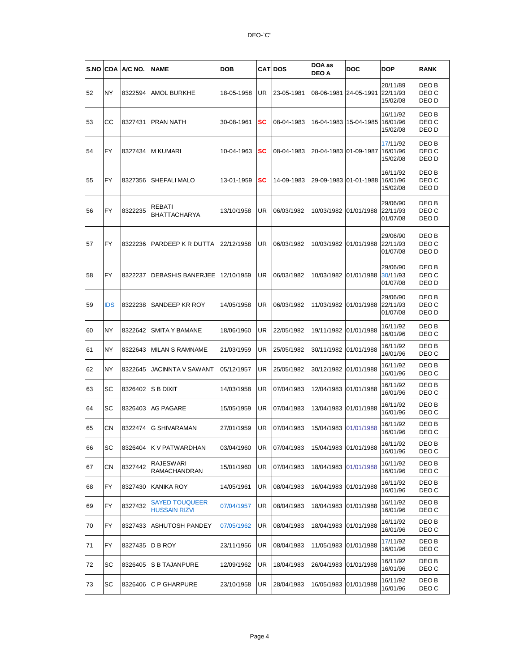| S.NO | <b>ICDA</b> | A/C NO. | <b>NAME</b>                            | <b>DOB</b> |    | <b>CAT DOS</b> | DOA as<br><b>DEO A</b> | <b>DOC</b> | <b>DOP</b>                       | <b>RANK</b>                        |
|------|-------------|---------|----------------------------------------|------------|----|----------------|------------------------|------------|----------------------------------|------------------------------------|
| 52   | NY          | 8322594 | <b>AMOL BURKHE</b>                     | 18-05-1958 | UR | 23-05-1981     | 08-06-1981             | 24-05-1991 | 20/11/89<br>22/11/93<br>15/02/08 | DEO B<br>DEO C<br>DEO D            |
| 53   | CC          | 8327431 | <b>PRAN NATH</b>                       | 30-08-1961 | SC | 08-04-1983     | 16-04-1983             | 15-04-1985 | 16/11/92<br>16/01/96<br>15/02/08 | DEO B<br>DEO C<br>DEO D            |
| 54   | <b>FY</b>   | 8327434 | <b>M KUMARI</b>                        | 10-04-1963 | sc | 08-04-1983     | 20-04-1983 01-09-1987  |            | 17/11/92<br>16/01/96<br>15/02/08 | DEO B<br>DEO C<br>DEO D            |
| 55   | FY          | 8327356 | <b>SHEFALI MALO</b>                    | 13-01-1959 | sc | 14-09-1983     | 29-09-1983 01-01-1988  |            | 16/11/92<br>16/01/96<br>15/02/08 | DEO B<br>DEO C<br>DEO D            |
| 56   | FY          | 8322235 | REBATI<br><b>BHATTACHARYA</b>          | 13/10/1958 | UR | 06/03/1982     | 10/03/1982             | 01/01/1988 | 29/06/90<br>22/11/93<br>01/07/08 | DEO B<br>DEO C<br>DEO D            |
| 57   | FY          | 8322236 | PARDEEP K R DUTTA                      | 22/12/1958 | UR | 06/03/1982     | 10/03/1982             | 01/01/1988 | 29/06/90<br>22/11/93<br>01/07/08 | DEO B<br>DEO C<br>DEO D            |
| 58   | FY          | 8322237 | <b>DEBASHIS BANERJEE</b>               | 12/10/1959 | UR | 06/03/1982     | 10/03/1982             | 01/01/1988 | 29/06/90<br>30/11/93<br>01/07/08 | DEO <sub>B</sub><br>DEO C<br>DEO D |
| 59   | <b>IDS</b>  | 8322238 | SANDEEP KR ROY                         | 14/05/1958 | UR | 06/03/1982     | 11/03/1982             | 01/01/1988 | 29/06/90<br>22/11/93<br>01/07/08 | DEO B<br>DEO C<br>DEO D            |
| 60   | NY          | 8322642 | <b>SMITA Y BAMANE</b>                  | 18/06/1960 | UR | 22/05/1982     | 19/11/1982             | 01/01/1988 | 16/11/92<br>16/01/96             | DEO B<br>DEO C                     |
| 61   | <b>NY</b>   | 8322643 | <b>MILAN S RAMNAME</b>                 | 21/03/1959 | UR | 25/05/1982     | 30/11/1982             | 01/01/1988 | 16/11/92<br>16/01/96             | DEO B<br>DEO C                     |
| 62   | NY          | 8322645 | JACINNTA V SAWANT                      | 05/12/1957 | UR | 25/05/1982     | 30/12/1982             | 01/01/1988 | 16/11/92<br>16/01/96             | DEO B<br>DEO C                     |
| 63   | SC          | 8326402 | S B DIXIT                              | 14/03/1958 | UR | 07/04/1983     | 12/04/1983             | 01/01/1988 | 16/11/92<br>16/01/96             | DEO B<br>DEO C                     |
| 64   | SC          | 8326403 | <b>AG PAGARE</b>                       | 15/05/1959 | UR | 07/04/1983     | 13/04/1983             | 01/01/1988 | 16/11/92<br>16/01/96             | DEO B<br>DEO C                     |
| 65   | CN          | 8322474 | G SHIVARAMAN                           | 27/01/1959 | UR | 07/04/1983     | 15/04/1983             | 01/01/1988 | 16/11/92<br>16/01/96             | DEO B<br>DEO C                     |
| 66   | SC          | 8326404 | K V PATWARDHAN                         | 03/04/1960 | UR | 07/04/1983     | 15/04/1983             | 01/01/1988 | 16/11/92<br>16/01/96             | DEO B<br>DEO C                     |
| 67   | CN          | 8327442 | RAJESWARI<br>RAMACHANDRAN              | 15/01/1960 | UR | 07/04/1983     | 18/04/1983             | 01/01/1988 | 16/11/92<br>16/01/96             | DEO B<br>DEO C                     |
| 68   | FY          | 8327430 | <b>KANIKA ROY</b>                      | 14/05/1961 | UR | 08/04/1983     | 16/04/1983             | 01/01/1988 | 16/11/92<br>16/01/96             | DEO B<br>DEO C                     |
| 69   | FY.         | 8327432 | SAYED TOUQUEER<br><b>HUSSAIN RIZVI</b> | 07/04/1957 | UR | 08/04/1983     | 18/04/1983             | 01/01/1988 | 16/11/92<br>16/01/96             | DEO B<br>DEO C                     |
| 70   | FY          | 8327433 | <b>ASHUTOSH PANDEY</b>                 | 07/05/1962 | UR | 08/04/1983     | 18/04/1983             | 01/01/1988 | 16/11/92<br>16/01/96             | DEO B<br>DEO C                     |
| 71   | FY          | 8327435 | D B ROY                                | 23/11/1956 | UR | 08/04/1983     | 11/05/1983             | 01/01/1988 | 17/11/92<br>16/01/96             | DEO B<br>DEO C                     |
| 72   | SC          | 8326405 | S B TAJANPURE                          | 12/09/1962 | UR | 18/04/1983     | 26/04/1983             | 01/01/1988 | 16/11/92<br>16/01/96             | DEO B<br>DEO C                     |
| 73   | SC          | 8326406 | C P GHARPURE                           | 23/10/1958 | UR | 28/04/1983     | 16/05/1983             | 01/01/1988 | 16/11/92<br>16/01/96             | DEO B<br>DEO C                     |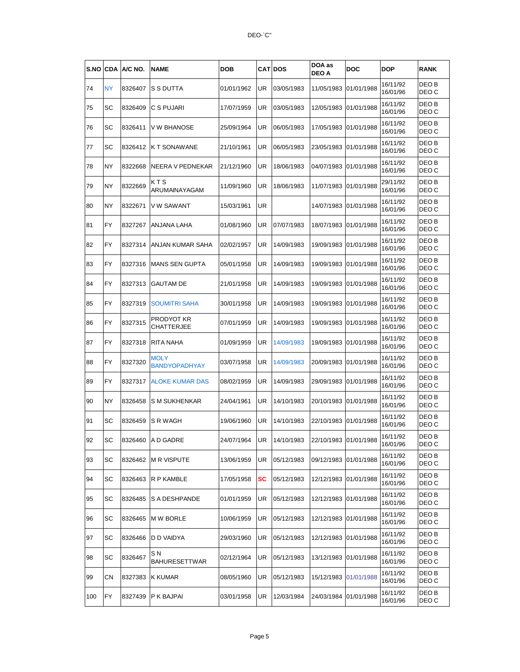| S.NO | <b>CDA</b> | A/C NO. | <b>NAME</b>                         | DOB        |     | <b>CATIDOS</b> | DOA as<br><b>DEO A</b> | DOC        | DOP                  | <b>RANK</b>    |
|------|------------|---------|-------------------------------------|------------|-----|----------------|------------------------|------------|----------------------|----------------|
| 74   | ΝY         | 8326407 | <b>S S DUTTA</b>                    | 01/01/1962 | UR  | 03/05/1983     | 11/05/1983             | 01/01/1988 | 16/11/92<br>16/01/96 | DEO B<br>DEO C |
| 75   | SC         | 8326409 | C S PUJARI                          | 17/07/1959 | UR  | 03/05/1983     | 12/05/1983             | 01/01/1988 | 16/11/92<br>16/01/96 | DEO B<br>DEO C |
| 76   | SC         | 8326411 | V W BHANOSE                         | 25/09/1964 | UR  | 06/05/1983     | 17/05/1983             | 01/01/1988 | 16/11/92<br>16/01/96 | DEO B<br>DEO C |
| 77   | SC         | 8326412 | K T SONAWANE                        | 21/10/1961 | UR  | 06/05/1983     | 23/05/1983             | 01/01/1988 | 16/11/92<br>16/01/96 | DEO B<br>DEO C |
| 78   | NY         | 8322668 | NEERA V PEDNEKAR                    | 21/12/1960 | UR  | 18/06/1983     | 04/07/1983             | 01/01/1988 | 16/11/92<br>16/01/96 | DEO B<br>DEO C |
| 79   | NY         | 8322669 | КТS<br>ARUMAINAYAGAM                | 11/09/1960 | UR  | 18/06/1983     | 11/07/1983             | 01/01/1988 | 29/11/92<br>16/01/96 | DEO B<br>DEO C |
| 80   | NΥ         | 8322671 | V W SAWANT                          | 15/03/1961 | UR  |                | 14/07/1983             | 01/01/1988 | 16/11/92<br>16/01/96 | DEO B<br>DEO C |
| 81   | FY         | 8327267 | <b>ANJANA LAHA</b>                  | 01/08/1960 | UR  | 07/07/1983     | 18/07/1983             | 01/01/1988 | 16/11/92<br>16/01/96 | DEO B<br>DEO C |
| 82   | FY         | 8327314 | ANJAN KUMAR SAHA                    | 02/02/1957 | UR  | 14/09/1983     | 19/09/1983             | 01/01/1988 | 16/11/92<br>16/01/96 | DEO B<br>DEO C |
| 83   | FY         | 8327316 | <b>MANS SEN GUPTA</b>               | 05/01/1958 | UR  | 14/09/1983     | 19/09/1983             | 01/01/1988 | 16/11/92<br>16/01/96 | DEO B<br>DEO C |
| 84   | FY         | 8327313 | GAUTAM DE                           | 21/01/1958 | UR  | 14/09/1983     | 19/09/1983             | 01/01/1988 | 16/11/92<br>16/01/96 | DEO B<br>DEO C |
| 85   | FY         | 8327319 | <b>SOUMITRI SAHA</b>                | 30/01/1958 | UR  | 14/09/1983     | 19/09/1983             | 01/01/1988 | 16/11/92<br>16/01/96 | DEO B<br>DEO C |
| 86   | FY         | 8327315 | PRODYOT KR<br>CHATTERJEE            | 07/01/1959 | UR  | 14/09/1983     | 19/09/1983             | 01/01/1988 | 16/11/92<br>16/01/96 | DEO B<br>DEO C |
| 87   | FY         | 8327318 | <b>RITA NAHA</b>                    | 01/09/1959 | UR  | 14/09/1983     | 19/09/1983             | 01/01/1988 | 16/11/92<br>16/01/96 | DEO B<br>DEO C |
| 88   | FY         | 8327320 | <b>MOLY</b><br><b>BANDYOPADHYAY</b> | 03/07/1958 | UR  | 14/09/1983     | 20/09/1983             | 01/01/1988 | 16/11/92<br>16/01/96 | DEO B<br>DEO C |
| 89   | FY         | 8327317 | <b>ALOKE KUMAR DAS</b>              | 08/02/1959 | UR  | 14/09/1983     | 29/09/1983             | 01/01/1988 | 16/11/92<br>16/01/96 | DEO B<br>DEO C |
| 90   | ΝY         | 8326458 | S M SUKHENKAR                       | 24/04/1961 | UR  | 14/10/1983     | 20/10/1983             | 01/01/1988 | 16/11/92<br>16/01/96 | DEO B<br>DEO C |
| 91   | SC         | 8326459 | <b>S R WAGH</b>                     | 19/06/1960 | UR  | 14/10/1983     | 22/10/1983             | 01/01/1988 | 16/11/92<br>16/01/96 | DEO B<br>DEO C |
| 92   | SC         |         | 8326460 A D GADRE                   | 24/07/1964 | UR. | 14/10/1983     | 22/10/1983 01/01/1988  |            | 16/11/92<br>16/01/96 | DEO B<br>DEO C |
| 93   | SC         |         | 8326462   M R VISPUTE               | 13/06/1959 | UR  | 05/12/1983     | 09/12/1983 01/01/1988  |            | 16/11/92<br>16/01/96 | DEO B<br>DEO C |
| 94   | SC         | 8326463 | R P KAMBLE                          | 17/05/1958 | SC  | 05/12/1983     | 12/12/1983 01/01/1988  |            | 16/11/92<br>16/01/96 | DEO B<br>DEO C |
| 95   | SC         | 8326485 | <b>S A DESHPANDE</b>                | 01/01/1959 | UR  | 05/12/1983     | 12/12/1983 01/01/1988  |            | 16/11/92<br>16/01/96 | DEO B<br>DEO C |
| 96   | SC         | 8326465 | <b>MW BORLE</b>                     | 10/06/1959 | UR  | 05/12/1983     | 12/12/1983             | 01/01/1988 | 16/11/92<br>16/01/96 | DEO B<br>DEO C |
| 97   | SC         | 8326466 | D D VAIDYA                          | 29/03/1960 | UR  | 05/12/1983     | 12/12/1983             | 01/01/1988 | 16/11/92<br>16/01/96 | DEO B<br>DEO C |
| 98   | SC         | 8326467 | S N<br><b>BAHURESETTWAR</b>         | 02/12/1964 | UR  | 05/12/1983     | 13/12/1983 01/01/1988  |            | 16/11/92<br>16/01/96 | DEO B<br>DEO C |
| 99   | СN         | 8327383 | <b>K KUMAR</b>                      | 08/05/1960 | UR  | 05/12/1983     | 15/12/1983 01/01/1988  |            | 16/11/92<br>16/01/96 | DEO B<br>DEO C |
| 100  | FY         | 8327439 | <b>P K BAJPAI</b>                   | 03/01/1958 | UR  | 12/03/1984     | 24/03/1984 01/01/1988  |            | 16/11/92<br>16/01/96 | DEO B<br>DEO C |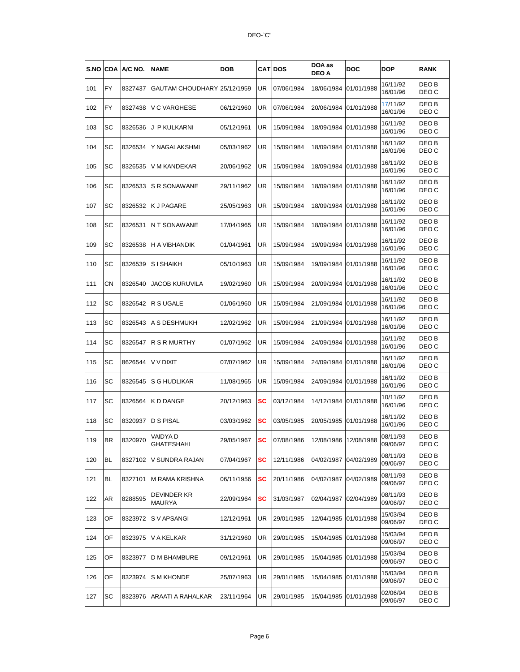| S.NO | <b>CDA</b> | A/C NO. | <b>NAME</b>                  | DOB        |    | <b>CATIDOS</b> | DOA as<br>DEO A         | DOC        | DOP                  | <b>RANK</b>    |
|------|------------|---------|------------------------------|------------|----|----------------|-------------------------|------------|----------------------|----------------|
| 101  | <b>FY</b>  | 8327437 | GAUTAM CHOUDHARY 25/12/1959  |            | UR | 07/06/1984     | 18/06/1984              | 01/01/1988 | 16/11/92<br>16/01/96 | DEO B<br>DEO C |
| 102  | <b>FY</b>  | 8327438 | <b>V C VARGHESE</b>          | 06/12/1960 | UR | 07/06/1984     | 20/06/1984              | 01/01/1988 | 17/11/92<br>16/01/96 | DEO B<br>DEO C |
| 103  | SC         | 8326536 | J P KULKARNI                 | 05/12/1961 | UR | 15/09/1984     | 18/09/1984              | 01/01/1988 | 16/11/92<br>16/01/96 | DEO B<br>DEO C |
| 104  | SC         | 8326534 | Y NAGALAKSHMI                | 05/03/1962 | UR | 15/09/1984     | 18/09/1984              | 01/01/1988 | 16/11/92<br>16/01/96 | DEO B<br>DEO C |
| 105  | SC         | 8326535 | V M KANDEKAR                 | 20/06/1962 | UR | 15/09/1984     | 18/09/1984              | 01/01/1988 | 16/11/92<br>16/01/96 | DEO B<br>DEO C |
| 106  | SC         | 8326533 | S R SONAWANE                 | 29/11/1962 | UR | 15/09/1984     | 18/09/1984              | 01/01/1988 | 16/11/92<br>16/01/96 | DEO B<br>DEO C |
| 107  | SC         | 8326532 | <b>K J PAGARE</b>            | 25/05/1963 | UR | 15/09/1984     | 18/09/1984              | 01/01/1988 | 16/11/92<br>16/01/96 | DEO B<br>DEO C |
| 108  | SC         | 8326531 | N T SONAWANE                 | 17/04/1965 | UR | 15/09/1984     | 18/09/1984              | 01/01/1988 | 16/11/92<br>16/01/96 | DEO B<br>DEO C |
| 109  | SC         | 8326538 | H A VIBHANDIK                | 01/04/1961 | UR | 15/09/1984     | 19/09/1984              | 01/01/1988 | 16/11/92<br>16/01/96 | DEO B<br>DEO C |
| 110  | SC         | 8326539 | <b>SI SHAIKH</b>             | 05/10/1963 | UR | 15/09/1984     | 19/09/1984              | 01/01/1988 | 16/11/92<br>16/01/96 | DEO B<br>DEO C |
| 111  | СN         | 8326540 | JACOB KURUVILA               | 19/02/1960 | UR | 15/09/1984     | 20/09/1984              | 01/01/1988 | 16/11/92<br>16/01/96 | DEO B<br>DEO C |
| 112  | SC         | 8326542 | R S UGALE                    | 01/06/1960 | UR | 15/09/1984     | 21/09/1984              | 01/01/1988 | 16/11/92<br>16/01/96 | DEO B<br>DEO C |
| 113  | SC         | 8326543 | A S DESHMUKH                 | 12/02/1962 | UR | 15/09/1984     | 21/09/1984              | 01/01/1988 | 16/11/92<br>16/01/96 | DEO B<br>DEO C |
| 114  | SC         | 8326547 | R S R MURTHY                 | 01/07/1962 | UR | 15/09/1984     | 24/09/1984              | 01/01/1988 | 16/11/92<br>16/01/96 | DEO B<br>DEO C |
| 115  | SC         | 8626544 | V V DIXIT                    | 07/07/1962 | UR | 15/09/1984     | 24/09/1984              | 01/01/1988 | 16/11/92<br>16/01/96 | DEO B<br>DEO C |
| 116  | SC         | 8326545 | S G HUDLIKAR                 | 11/08/1965 | UR | 15/09/1984     | 24/09/1984              | 01/01/1988 | 16/11/92<br>16/01/96 | DEO B<br>DEO C |
| 117  | SC         | 8326564 | K D DANGE                    | 20/12/1963 | sc | 03/12/1984     | 14/12/1984              | 01/01/1988 | 10/11/92<br>16/01/96 | DEO B<br>DEO C |
| 118  | SC         | 8320937 | D S PISAL                    | 03/03/1962 | sc | 03/05/1985     | 20/05/1985              | 01/01/1988 | 16/11/92<br>16/01/96 | DEO B<br>DEO C |
| 119  | IBR        | 8320970 | VAIDYA D<br>GHATESHAHI       | 29/05/1967 | SC | 07/08/1986     | 12/08/1986   12/08/1988 |            | 08/11/93<br>09/06/97 | DEO B<br>DEO C |
| 120  | <b>BL</b>  | 8327102 | V SUNDRA RAJAN               | 07/04/1967 | sc | 12/11/1986     | 04/02/1987              | 04/02/1989 | 08/11/93<br>09/06/97 | DEO B<br>DEO C |
| 121  | BL         | 8327101 | M RAMA KRISHNA               | 06/11/1956 | SC | 20/11/1986     | 04/02/1987              | 04/02/1989 | 08/11/93<br>09/06/97 | DEO B<br>DEO C |
| 122  | AR         | 8288595 | DEVINDER KR<br><b>MAURYA</b> | 22/09/1964 | SC | 31/03/1987     | 02/04/1987              | 02/04/1989 | 08/11/93<br>09/06/97 | DEO B<br>DEO C |
| 123  | OF         | 8323972 | S V APSANGI                  | 12/12/1961 | UR | 29/01/1985     | 12/04/1985              | 01/01/1988 | 15/03/94<br>09/06/97 | DEO B<br>DEO C |
| 124  | OF         | 8323975 | V A KELKAR                   | 31/12/1960 | UR | 29/01/1985     | 15/04/1985              | 01/01/1988 | 15/03/94<br>09/06/97 | DEO B<br>DEO C |
| 125  | OF         | 8323977 | D M BHAMBURE                 | 09/12/1961 | UR | 29/01/1985     | 15/04/1985              | 01/01/1988 | 15/03/94<br>09/06/97 | DEO B<br>DEO C |
| 126  | OF         | 8323974 | S M KHONDE                   | 25/07/1963 | UR | 29/01/1985     | 15/04/1985              | 01/01/1988 | 15/03/94<br>09/06/97 | DEO B<br>DEO C |
| 127  | SC         | 8323976 | ARAATI A RAHALKAR            | 23/11/1964 | UR | 29/01/1985     | 15/04/1985              | 01/01/1988 | 02/06/94<br>09/06/97 | DEO B<br>DEO C |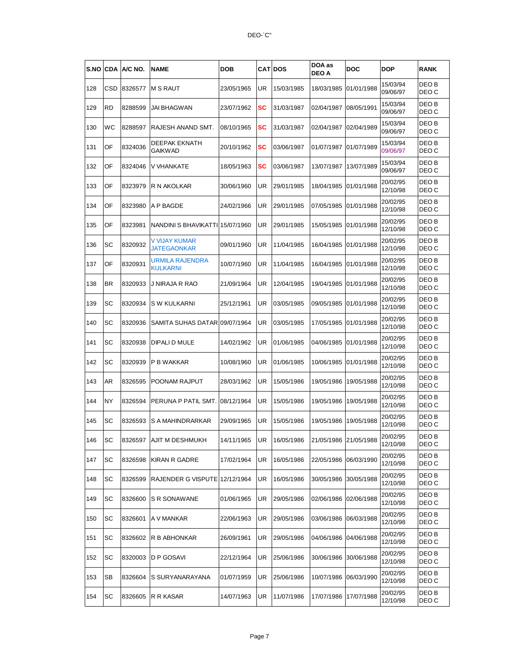| <b>S.NO CDA</b> |     | A/C NO. | <b>NAME</b>                         | <b>DOB</b> |     | <b>CATIDOS</b> | DOA as<br><b>DEO A</b> | DOC        | <b>DOP</b>           | <b>RANK</b>    |
|-----------------|-----|---------|-------------------------------------|------------|-----|----------------|------------------------|------------|----------------------|----------------|
| 128             | CSD | 8326577 | <b>M S RAUT</b>                     | 23/05/1965 | UR  | 15/03/1985     | 18/03/1985             | 01/01/1988 | 15/03/94<br>09/06/97 | DEO B<br>DEO C |
| 129             | RD  | 8288599 | JAI BHAGWAN                         | 23/07/1962 | SC  | 31/03/1987     | 02/04/1987             | 08/05/1991 | 15/03/94<br>09/06/97 | DEO B<br>DEO C |
| 130             | WС  | 8288597 | RAJESH ANAND SMT.                   | 08/10/1965 | SC  | 31/03/1987     | 02/04/1987             | 02/04/1989 | 15/03/94<br>09/06/97 | DEO B<br>DEO C |
| 131             | OF  | 8324036 | DEEPAK EKNATH<br>GAIKWAD            | 20/10/1962 | SC  | 03/06/1987     | 01/07/1987             | 01/07/1989 | 15/03/94<br>09/06/97 | DEO B<br>DEO C |
| 132             | OF  | 8324046 | V VHANKATE                          | 18/05/1963 | SC  | 03/06/1987     | 13/07/1987             | 13/07/1989 | 15/03/94<br>09/06/97 | DEO B<br>DEO C |
| 133             | OF  | 8323979 | R N AKOLKAR                         | 30/06/1960 | UR  | 29/01/1985     | 18/04/1985             | 01/01/1988 | 20/02/95<br>12/10/98 | DEO B<br>DEO C |
| 134             | OF  | 8323980 | A P BAGDE                           | 24/02/1966 | UR  | 29/01/1985     | 07/05/1985             | 01/01/1988 | 20/02/95<br>12/10/98 | DEO B<br>DEO C |
| 135             | OF  | 8323981 | NANDINI S BHAVIKATTI 15/07/1960     |            | UR  | 29/01/1985     | 15/05/1985             | 01/01/1988 | 20/02/95<br>12/10/98 | DEO B<br>DEO C |
| 136             | SC  | 8320932 | V VIJAY KUMAR<br><b>JATEGAONKAR</b> | 09/01/1960 | UR  | 11/04/1985     | 16/04/1985             | 01/01/1988 | 20/02/95<br>12/10/98 | DEO B<br>DEO C |
| 137             | OF  | 8320931 | URMILA RAJENDRA<br><b>KULKARNI</b>  | 10/07/1960 | UR  | 11/04/1985     | 16/04/1985             | 01/01/1988 | 20/02/95<br>12/10/98 | DEO B<br>DEO C |
| 138             | ΒR  | 8320933 | J NIRAJA R RAO                      | 21/09/1964 | UR  | 12/04/1985     | 19/04/1985             | 01/01/1988 | 20/02/95<br>12/10/98 | DEO B<br>DEO C |
| 139             | SC  | 8320934 | S W KULKARNI                        | 25/12/1961 | UR  | 03/05/1985     | 09/05/1985             | 01/01/1988 | 20/02/95<br>12/10/98 | DEO B<br>DEO C |
| 140             | SC  | 8320936 | SAMITA SUHAS DATAR 09/07/1964       |            | UR  | 03/05/1985     | 17/05/1985             | 01/01/1988 | 20/02/95<br>12/10/98 | DEO B<br>DEO C |
| 141             | SC  | 8320938 | DIPALI D MULE                       | 14/02/1962 | UR  | 01/06/1985     | 04/06/1985             | 01/01/1988 | 20/02/95<br>12/10/98 | DEO B<br>DEO C |
| 142             | SC  | 8320939 | P B WAKKAR                          | 10/08/1960 | UR  | 01/06/1985     | 10/06/1985             | 01/01/1988 | 20/02/95<br>12/10/98 | DEO B<br>DEO C |
| 143             | AR  | 8326595 | POONAM RAJPUT                       | 28/03/1962 | UR  | 15/05/1986     | 19/05/1986             | 19/05/1988 | 20/02/95<br>12/10/98 | DEO B<br>DEO C |
| 144             | NY  | 8326594 | PERUNA P PATIL SMT.                 | 08/12/1964 | UR  | 15/05/1986     | 19/05/1986             | 19/05/1988 | 20/02/95<br>12/10/98 | DEO B<br>DEO C |
| 145             | SC  | 8326593 | S A MAHINDRARKAR                    | 29/09/1965 | UR  | 15/05/1986     | 19/05/1986             | 19/05/1988 | 20/02/95<br>12/10/98 | DEO B<br>DEO C |
| 146             | SC. |         | 8326597 AJII M DESHMUKH             | 14/11/1965 | UR. | 16/05/1986     | 21/05/1986 21/05/1988  |            | 20/02/95<br>12/10/98 | DEO B<br>DEO C |
| 147             | SC  | 8326598 | <b>KIRAN R GADRE</b>                | 17/02/1964 | UR  | 16/05/1986     | 22/05/1986             | 06/03/1990 | 20/02/95<br>12/10/98 | DEO B<br>DEO C |
| 148             | SC  | 8326599 | RAJENDER G VISPUTE 12/12/1964       |            | UR  | 16/05/1986     | 30/05/1986             | 30/05/1988 | 20/02/95<br>12/10/98 | DEO B<br>DEO C |
| 149             | SC  | 8326600 | S R SONAWANE                        | 01/06/1965 | UR  | 29/05/1986     | 02/06/1986             | 02/06/1988 | 20/02/95<br>12/10/98 | DEO B<br>DEO C |
| 150             | SC  | 8326601 | A V MANKAR                          | 22/06/1963 | UR  | 29/05/1986     | 03/06/1986             | 06/03/1988 | 20/02/95<br>12/10/98 | DEO B<br>DEO C |
| 151             | SC  | 8326602 | R B ABHONKAR                        | 26/09/1961 | UR  | 29/05/1986     | 04/06/1986             | 04/06/1988 | 20/02/95<br>12/10/98 | DEO B<br>DEO C |
| 152             | SC  | 8320003 | D P GOSAVI                          | 22/12/1964 | UR  | 25/06/1986     | 30/06/1986             | 30/06/1988 | 20/02/95<br>12/10/98 | DEO B<br>DEO C |
| 153             | SВ  | 8326604 | S SURYANARAYANA                     | 01/07/1959 | UR  | 25/06/1986     | 10/07/1986             | 06/03/1990 | 20/02/95<br>12/10/98 | DEO B<br>DEO C |
| 154             | SC  | 8326605 | R R KASAR                           | 14/07/1963 | UR  | 11/07/1986     | 17/07/1986             | 17/07/1988 | 20/02/95<br>12/10/98 | DEO B<br>DEO C |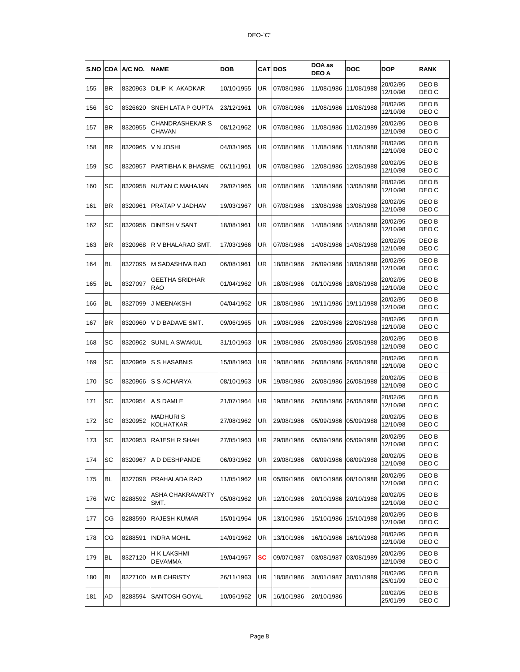| S.NO | <b>CDA</b> | A/C NO. | <b>NAME</b>                      | DOB        |    | <b>CATIDOS</b> | DOA as<br>DEO A       | DOC        | DOP                  | <b>RANK</b>    |
|------|------------|---------|----------------------------------|------------|----|----------------|-----------------------|------------|----------------------|----------------|
| 155  | BR.        | 8320963 | DILIP K AKADKAR                  | 10/10/1955 | UR | 07/08/1986     | 11/08/1986            | 11/08/1988 | 20/02/95<br>12/10/98 | DEO B<br>DEO C |
| 156  | SC         | 8326620 | SNEH LATA P GUPTA                | 23/12/1961 | UR | 07/08/1986     | 11/08/1986            | 11/08/1988 | 20/02/95<br>12/10/98 | DEO B<br>DEO C |
| 157  | BR         | 8320955 | CHANDRASHEKAR S<br><b>CHAVAN</b> | 08/12/1962 | UR | 07/08/1986     | 11/08/1986            | 11/02/1989 | 20/02/95<br>12/10/98 | DEO B<br>DEO C |
| 158  | BR.        | 8320965 | V N JOSHI                        | 04/03/1965 | UR | 07/08/1986     | 11/08/1986            | 11/08/1988 | 20/02/95<br>12/10/98 | DEO B<br>DEO C |
| 159  | SC         | 8320957 | PARTIBHA K BHASME                | 06/11/1961 | UR | 07/08/1986     | 12/08/1986            | 12/08/1988 | 20/02/95<br>12/10/98 | DEO B<br>DEO C |
| 160  | SC         | 8320958 | NUTAN C MAHAJAN                  | 29/02/1965 | UR | 07/08/1986     | 13/08/1986            | 13/08/1988 | 20/02/95<br>12/10/98 | DEO B<br>DEO C |
| 161  | BR.        | 8320961 | PRATAP V JADHAV                  | 19/03/1967 | UR | 07/08/1986     | 13/08/1986            | 13/08/1988 | 20/02/95<br>12/10/98 | DEO B<br>DEO C |
| 162  | SC         | 8320956 | DINESH V SANT                    | 18/08/1961 | UR | 07/08/1986     | 14/08/1986            | 14/08/1988 | 20/02/95<br>12/10/98 | DEO B<br>DEO C |
| 163  | BR.        | 8320968 | R V BHALARAO SMT.                | 17/03/1966 | UR | 07/08/1986     | 14/08/1986            | 14/08/1988 | 20/02/95<br>12/10/98 | DEO B<br>DEO C |
| 164  | BL         | 8327095 | M SADASHIVA RAO                  | 06/08/1961 | UR | 18/08/1986     | 26/09/1986            | 18/08/1988 | 20/02/95<br>12/10/98 | DEO B<br>DEO C |
| 165  | BL         | 8327097 | <b>GEETHA SRIDHAR</b><br>RAO     | 01/04/1962 | UR | 18/08/1986     | 01/10/1986            | 18/08/1988 | 20/02/95<br>12/10/98 | DEO B<br>DEO C |
| 166  | BL         | 8327099 | J MEENAKSHI                      | 04/04/1962 | UR | 18/08/1986     | 19/11/1986            | 19/11/1988 | 20/02/95<br>12/10/98 | DEO B<br>DEO C |
| 167  | BR.        | 8320960 | V D BADAVE SMT.                  | 09/06/1965 | UR | 19/08/1986     | 22/08/1986            | 22/08/1988 | 20/02/95<br>12/10/98 | DEO B<br>DEO C |
| 168  | SC         | 8320962 | SUNIL A SWAKUL                   | 31/10/1963 | UR | 19/08/1986     | 25/08/1986            | 25/08/1988 | 20/02/95<br>12/10/98 | DEO B<br>DEO C |
| 169  | SC         | 8320969 | S S HASABNIS                     | 15/08/1963 | UR | 19/08/1986     | 26/08/1986            | 26/08/1988 | 20/02/95<br>12/10/98 | DEO B<br>DEO C |
| 170  | SC         | 8320966 | S S ACHARYA                      | 08/10/1963 | UR | 19/08/1986     | 26/08/1986            | 26/08/1988 | 20/02/95<br>12/10/98 | DEO B<br>DEO C |
| 171  | SC         | 8320954 | A S DAMLE                        | 21/07/1964 | UR | 19/08/1986     | 26/08/1986            | 26/08/1988 | 20/02/95<br>12/10/98 | DEO B<br>DEO C |
| 172  | SC         | 8320952 | <b>MADHURIS</b><br>KOLHATKAR     | 27/08/1962 | UR | 29/08/1986     | 05/09/1986            | 05/09/1988 | 20/02/95<br>12/10/98 | DEO B<br>DEO C |
| 173  | ISC        |         | 8320953 RAJESH R SHAH            | 27/05/1963 | UR | 29/08/1986     | 05/09/1986 05/09/1988 |            | 20/02/95<br>12/10/98 | DEO B<br>DEO C |
| 174  | SС         | 8320967 | A D DESHPANDE                    | 06/03/1962 | UR | 29/08/1986     | 08/09/1986            | 08/09/1988 | 20/02/95<br>12/10/98 | DEO B<br>DEO C |
| 175  | BL         | 8327098 | PRAHALADA RAO                    | 11/05/1962 | UR | 05/09/1986     | 08/10/1986            | 08/10/1988 | 20/02/95<br>12/10/98 | DEO B<br>DEO C |
| 176  | WC         | 8288592 | ASHA CHAKRAVARTY<br>SMT.         | 05/08/1962 | UR | 12/10/1986     | 20/10/1986 20/10/1988 |            | 20/02/95<br>12/10/98 | DEO B<br>DEO C |
| 177  | СG         | 8288590 | RAJESH KUMAR                     | 15/01/1964 | UR | 13/10/1986     | 15/10/1986            | 15/10/1988 | 20/02/95<br>12/10/98 | DEO B<br>DEO C |
| 178  | СG         | 8288591 | <b>INDRA MOHIL</b>               | 14/01/1962 | UR | 13/10/1986     | 16/10/1986            | 16/10/1988 | 20/02/95<br>12/10/98 | DEO B<br>DEO C |
| 179  | <b>BL</b>  | 8327120 | H K LAKSHMI<br><b>DEVAMMA</b>    | 19/04/1957 | sc | 09/07/1987     | 03/08/1987            | 03/08/1989 | 20/02/95<br>12/10/98 | DEO B<br>DEO C |
| 180  | BL         | 8327100 | <b>M B CHRISTY</b>               | 26/11/1963 | UR | 18/08/1986     | 30/01/1987            | 30/01/1989 | 20/02/95<br>25/01/99 | DEO B<br>DEO C |
| 181  | AD         | 8288594 | SANTOSH GOYAL                    | 10/06/1962 | UR | 16/10/1986     | 20/10/1986            |            | 20/02/95<br>25/01/99 | DEO B<br>DEO C |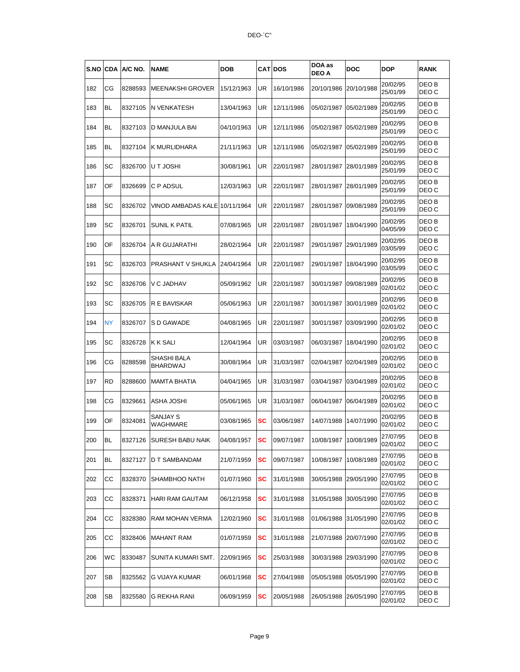| S.NO | <b>CDA</b> | A/C NO. | <b>NAME</b>                    | <b>DOB</b> |    | <b>CAT DOS</b> | DOA as<br><b>DEO A</b> | DOC        | <b>DOP</b>           | <b>RANK</b>    |
|------|------------|---------|--------------------------------|------------|----|----------------|------------------------|------------|----------------------|----------------|
| 182  | СG         | 8288593 | <b>MEENAKSHI GROVER</b>        | 15/12/1963 | UR | 16/10/1986     | 20/10/1986             | 20/10/1988 | 20/02/95<br>25/01/99 | DEO B<br>DEO C |
| 183  | BL         | 8327105 | <b>N VENKATESH</b>             | 13/04/1963 | UR | 12/11/1986     | 05/02/1987             | 05/02/1989 | 20/02/95<br>25/01/99 | DEO B<br>DEO C |
| 184  | BL         | 8327103 | D MANJULA BAI                  | 04/10/1963 | UR | 12/11/1986     | 05/02/1987             | 05/02/1989 | 20/02/95<br>25/01/99 | DEO B<br>DEO C |
| 185  | BL         | 8327104 | K MURLIDHARA                   | 21/11/1963 | UR | 12/11/1986     | 05/02/1987             | 05/02/1989 | 20/02/95<br>25/01/99 | DEO B<br>DEO C |
| 186  | SC         | 8326700 | U T JOSHI                      | 30/08/1961 | UR | 22/01/1987     | 28/01/1987             | 28/01/1989 | 20/02/95<br>25/01/99 | DEO B<br>DEO C |
| 187  | OF         | 8326699 | C P ADSUL                      | 12/03/1963 | UR | 22/01/1987     | 28/01/1987             | 28/01/1989 | 20/02/95<br>25/01/99 | DEO B<br>DEO C |
| 188  | SC         | 8326702 | VINOD AMBADAS KALE 10/11/1964  |            | UR | 22/01/1987     | 28/01/1987             | 09/08/1989 | 20/02/95<br>25/01/99 | DEO B<br>DEO C |
| 189  | SC         | 8326701 | <b>SUNIL K PATIL</b>           | 07/08/1965 | UR | 22/01/1987     | 28/01/1987             | 18/04/1990 | 20/02/95<br>04/05/99 | DEO B<br>DEO C |
| 190  | OF         | 8326704 | A R GUJARATHI                  | 28/02/1964 | UR | 22/01/1987     | 29/01/1987             | 29/01/1989 | 20/02/95<br>03/05/99 | DEO B<br>DEO C |
| 191  | SC         | 8326703 | PRASHANT V SHUKLA              | 24/04/1964 | UR | 22/01/1987     | 29/01/1987             | 18/04/1990 | 20/02/95<br>03/05/99 | DEO B<br>DEO C |
| 192  | SC         | 8326706 | V C JADHAV                     | 05/09/1962 | UR | 22/01/1987     | 30/01/1987             | 09/08/1989 | 20/02/95<br>02/01/02 | DEO B<br>DEO C |
| 193  | SC         | 8326705 | R E BAVISKAR                   | 05/06/1963 | UR | 22/01/1987     | 30/01/1987             | 30/01/1989 | 20/02/95<br>02/01/02 | DEO B<br>DEO C |
| 194  | NY         | 8326707 | S D GAWADE                     | 04/08/1965 | UR | 22/01/1987     | 30/01/1987             | 03/09/1990 | 20/02/95<br>02/01/02 | DEO B<br>DEO C |
| 195  | SC         | 8326728 | <b>K K SALI</b>                | 12/04/1964 | UR | 03/03/1987     | 06/03/1987             | 18/04/1990 | 20/02/95<br>02/01/02 | DEO B<br>DEO C |
| 196  | СG         | 8288598 | SHASHI BALA<br><b>BHARDWAJ</b> | 30/08/1964 | UR | 31/03/1987     | 02/04/1987             | 02/04/1989 | 20/02/95<br>02/01/02 | DEO B<br>DEO C |
| 197  | RD         | 8288600 | <b>MAMTA BHATIA</b>            | 04/04/1965 | UR | 31/03/1987     | 03/04/1987             | 03/04/1989 | 20/02/95<br>02/01/02 | DEO B<br>DEO C |
| 198  | СG         | 8329661 | <b>ASHA JOSHI</b>              | 05/06/1965 | UR | 31/03/1987     | 06/04/1987             | 06/04/1989 | 20/02/95<br>02/01/02 | DEO B<br>DEO C |
| 199  | OF         | 8324081 | SANJAY S<br>WAGHMARE           | 03/08/1965 | sc | 03/06/1987     | 14/07/1988             | 14/07/1990 | 20/02/95<br>02/01/02 | DEO B<br>DEO C |
| 200  | BL         |         | 8327126 SURESH BABU NAIK       | 04/08/1957 | SC | 09/07/1987     | 10/08/1987             | 10/08/1989 | 27/07/95<br>02/01/02 | DEO B<br>DEO C |
| 201  | BL         | 8327127 | <b>D T SAMBANDAM</b>           | 21/07/1959 | SC | 09/07/1987     | 10/08/1987             | 10/08/1989 | 27/07/95<br>02/01/02 | DEO B<br>DEO C |
| 202  | CC         | 8328370 | <b>SHAMBHOO NATH</b>           | 01/07/1960 | SC | 31/01/1988     | 30/05/1988             | 29/05/1990 | 27/07/95<br>02/01/02 | DEO B<br>DEO C |
| 203  | CС         | 8328371 | HARI RAM GAUTAM                | 06/12/1958 | SC | 31/01/1988     | 31/05/1988             | 30/05/1990 | 27/07/95<br>02/01/02 | DEO B<br>DEO C |
| 204  | CС         | 8328380 | RAM MOHAN VERMA                | 12/02/1960 | SC | 31/01/1988     | 01/06/1988             | 31/05/1990 | 27/07/95<br>02/01/02 | DEO B<br>DEO C |
| 205  | CС         | 8328406 | <b>MAHANT RAM</b>              | 01/07/1959 | SC | 31/01/1988     | 21/07/1988             | 20/07/1990 | 27/07/95<br>02/01/02 | DEO B<br>DEO C |
| 206  | WС         | 8330487 | SUNITA KUMARI SMT.             | 22/09/1965 | sc | 25/03/1988     | 30/03/1988             | 29/03/1990 | 27/07/95<br>02/01/02 | DEO B<br>DEO C |
| 207  | SВ         | 8325562 | G VIJAYA KUMAR                 | 06/01/1968 | sc | 27/04/1988     | 05/05/1988             | 05/05/1990 | 27/07/95<br>02/01/02 | DEO B<br>DEO C |
| 208  | SB         | 8325580 | G REKHA RANI                   | 06/09/1959 | SC | 20/05/1988     | 26/05/1988             | 26/05/1990 | 27/07/95<br>02/01/02 | DEO B<br>DEO C |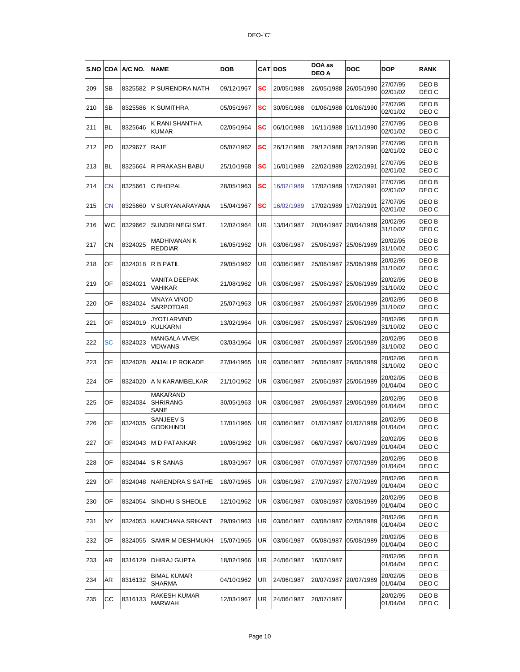| S.NO | <b>CDA</b> | A/C NO. | <b>NAME</b>                         | <b>DOB</b> |    | <b>CATIDOS</b> | DOA as<br><b>DEO A</b> | DOC        | DOP                  | <b>RANK</b>               |
|------|------------|---------|-------------------------------------|------------|----|----------------|------------------------|------------|----------------------|---------------------------|
| 209  | SВ         | 8325582 | <b>P SURENDRA NATH</b>              | 09/12/1967 | SC | 20/05/1988     | 26/05/1988             | 26/05/1990 | 27/07/95<br>02/01/02 | DEO B<br>DEO C            |
| 210  | SВ         | 8325586 | <b>K SUMITHRA</b>                   | 05/05/1967 | sc | 30/05/1988     | 01/06/1988             | 01/06/1990 | 27/07/95<br>02/01/02 | DEO B<br>DEO C            |
| 211  | BL         | 8325646 | K RANI SHANTHA<br><b>KUMAR</b>      | 02/05/1964 | SC | 06/10/1988     | 16/11/1988             | 16/11/1990 | 27/07/95<br>02/01/02 | DEO B<br>DEO C            |
| 212  | PD         | 8329677 | RAJE                                | 05/07/1962 | SC | 26/12/1988     | 29/12/1988             | 29/12/1990 | 27/07/95<br>02/01/02 | DEO B<br>DEO C            |
| 213  | BL         | 8325664 | R PRAKASH BABU                      | 25/10/1968 | sc | 16/01/1989     | 22/02/1989             | 22/02/1991 | 27/07/95<br>02/01/02 | DEO B<br>DEO C            |
| 214  | CΝ         | 8325661 | C BHOPAL                            | 28/05/1963 | SC | 16/02/1989     | 17/02/1989             | 17/02/1991 | 27/07/95<br>02/01/02 | DEO B<br>DEO C            |
| 215  | CΝ         | 8325660 | V SURYANARAYANA                     | 15/04/1967 | SC | 16/02/1989     | 17/02/1989             | 17/02/1991 | 27/07/95<br>02/01/02 | DEO B<br>DEO C            |
| 216  | WС         | 8329662 | SUNDRINEGISMT.                      | 12/02/1964 | UR | 13/04/1987     | 20/04/1987             | 20/04/1989 | 20/02/95<br>31/10/02 | DEO B<br>DEO C            |
| 217  | СN         | 8324025 | MADHIVANAN K<br><b>REDDIAR</b>      | 16/05/1962 | UR | 03/06/1987     | 25/06/1987             | 25/06/1989 | 20/02/95<br>31/10/02 | DEO B<br>DEO C            |
| 218  | OF         | 8324018 | R B PATIL                           | 29/05/1962 | UR | 03/06/1987     | 25/06/1987             | 25/06/1989 | 20/02/95<br>31/10/02 | DEO B<br>DEO C            |
| 219  | OF         | 8324021 | VANITA DEEPAK<br>VAHIKAR            | 21/08/1962 | UR | 03/06/1987     | 25/06/1987             | 25/06/1989 | 20/02/95<br>31/10/02 | DEO <sub>B</sub><br>DEO C |
| 220  | OF         | 8324024 | VINAYA VINOD<br>SARPOTDAR           | 25/07/1963 | UR | 03/06/1987     | 25/06/1987             | 25/06/1989 | 20/02/95<br>31/10/02 | DEO B<br>DEO C            |
| 221  | OF         | 8324019 | JYOTI ARVIND<br>KULKARNI            | 13/02/1964 | UR | 03/06/1987     | 25/06/1987             | 25/06/1989 | 20/02/95<br>31/10/02 | DEO B<br>DEO C            |
| 222  | <b>SC</b>  | 8324023 | MANGALA VIVEK<br>VIDWANS            | 03/03/1964 | UR | 03/06/1987     | 25/06/1987             | 25/06/1989 | 20/02/95<br>31/10/02 | DEO B<br>DEO C            |
| 223  | OF         | 8324028 | ANJALI P ROKADE                     | 27/04/1965 | UR | 03/06/1987     | 26/06/1987             | 26/06/1989 | 20/02/95<br>31/10/02 | DEO B<br>DEO C            |
| 224  | OF         | 8324020 | A N KARAMBELKAR                     | 21/10/1962 | UR | 03/06/1987     | 25/06/1987             | 25/06/1989 | 20/02/95<br>01/04/04 | DEO B<br>DEO C            |
| 225  | OF         | 8324034 | MAKARAND<br><b>SHRIRANG</b><br>SANE | 30/05/1963 | UR | 03/06/1987     | 29/06/1987             | 29/06/1989 | 20/02/95<br>01/04/04 | DEO B<br>DEO C            |
| 226  | OF         | 8324035 | SANJEEV S<br>godkhindi              | 17/01/1965 | UR | 03/06/1987     | 01/07/1987             | 01/07/1989 | 20/02/95<br>01/04/04 | DEO B<br>DEO C            |
| 227  | OF         |         | 8324043 M D PATANKAR                | 10/06/1962 | UR | 03/06/1987     | 06/07/1987             | 06/07/1989 | 20/02/95<br>01/04/04 | DEO B<br>DEO C            |
| 228  | OF         | 8324044 | S R SANAS                           | 18/03/1967 | UR | 03/06/1987     | 07/07/1987             | 07/07/1989 | 20/02/95<br>01/04/04 | DEO B<br>DEO C            |
| 229  | OF         | 8324048 | <b>NARENDRA S SATHE</b>             | 18/07/1965 | UR | 03/06/1987     | 27/07/1987             | 27/07/1989 | 20/02/95<br>01/04/04 | DEO B<br>DEO C            |
| 230  | OF         | 8324054 | <b>SINDHU S SHEOLE</b>              | 12/10/1962 | UR | 03/06/1987     | 03/08/1987             | 03/08/1989 | 20/02/95<br>01/04/04 | DEO B<br>DEO C            |
| 231  | ΝY         | 8324053 | KANCHANA SRIKANT                    | 29/09/1963 | UR | 03/06/1987     | 03/08/1987             | 02/08/1989 | 20/02/95<br>01/04/04 | DEO B<br>DEO C            |
| 232  | OF         | 8324055 | <b>SAMIR M DESHMUKH</b>             | 15/07/1965 | UR | 03/06/1987     | 05/08/1987             | 05/08/1989 | 20/02/95<br>01/04/04 | DEO B<br>DEO C            |
| 233  | AR         | 8316129 | DHIRAJ GUPTA                        | 18/02/1966 | UR | 24/06/1987     | 16/07/1987             |            | 20/02/95<br>01/04/04 | DEO B<br>DEO C            |
| 234  | AR         | 8316132 | <b>BIMAL KUMAR</b><br>SHARMA        | 04/10/1962 | UR | 24/06/1987     | 20/07/1987             | 20/07/1989 | 20/02/95<br>01/04/04 | DEO B<br>DEO C            |
| 235  | CС         | 8316133 | RAKESH KUMAR<br>MARWAH              | 12/03/1967 | UR | 24/06/1987     | 20/07/1987             |            | 20/02/95<br>01/04/04 | DEO B<br>DEO C            |